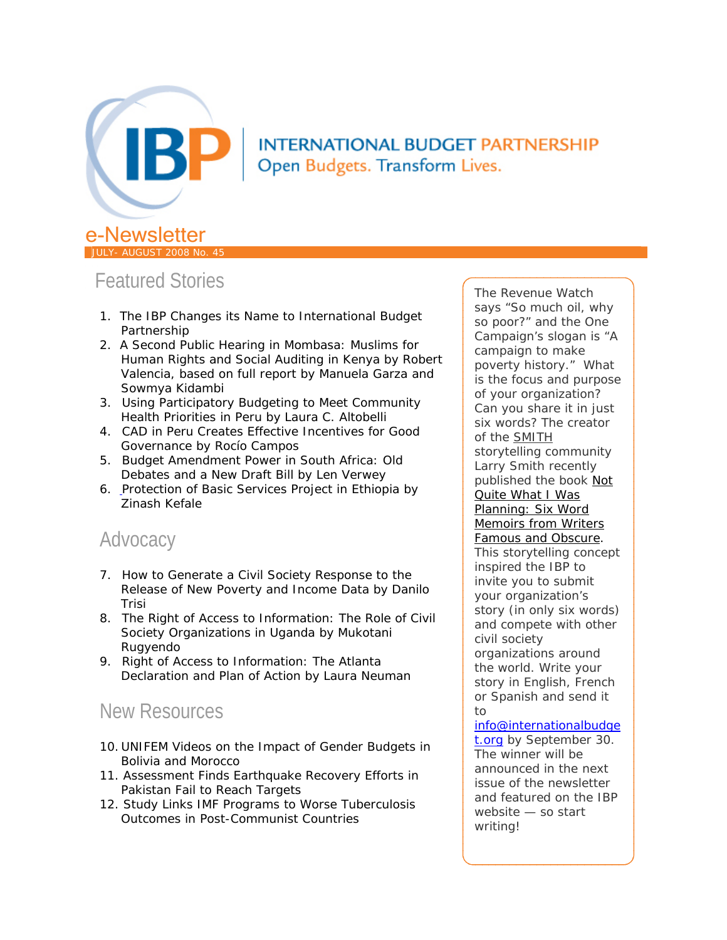

## **INTERNATIONAL BUDGET PARTNERSHIP** Open Budgets. Transform Lives.

# Featured Stories

JULY- AUGUST 2008 No. 45

- 1. The IBP Changes its Name to International Budget Partnership
- 2. A Second Public Hearing in Mombasa: Muslims for Human Rights and Social Auditing in Kenya by Robert Valencia, based on full report by Manuela Garza and Sowmya Kidambi
- 3. Using Participatory Budgeting to Meet Community Health Priorities in Peru by Laura C. Altobelli
- 4. CAD in Peru Creates Effective Incentives for Good Governance by Rocío Campos
- 5. Budget Amendment Power in South Africa: Old Debates and a New Draft Bill by Len Verwey
- 6. Protection of Basic Services Project in Ethiopia by Zinash Kefale

# Advocacy

- 7. How to Generate a Civil Society Response to the Release of New Poverty and Income Data by Danilo Trisi
- 8. The Right of Access to Information: The Role of Civil Society Organizations in Uganda by Mukotani Rugyendo
- 9. Right of Access to Information: The Atlanta Declaration and Plan of Action by Laura Neuman

# New Resources

- 10. UNIFEM Videos on the Impact of Gender Budgets in Bolivia and Morocco
- 11. Assessment Finds Earthquake Recovery Efforts in Pakistan Fail to Reach Targets
- 12. Study Links IMF Programs to Worse Tuberculosis Outcomes in Post-Communist Countries

The Revenue Watch says "So much oil, why so poor?" and the One Campaign's slogan is "A campaign to make poverty history." What is the focus and purpose of your organization? Can you share it in just six words? The creator of the [SMITH](http://www.smithmag.net/sixwords/) storytelling community Larry Smith recently published the book *[Not](http://www.amazon.com/Not-Quite-What-Was-Planning/dp/0061374059?ie=UTF8)  [Quite What I Was](http://www.amazon.com/Not-Quite-What-Was-Planning/dp/0061374059?ie=UTF8)  [Planning: Six Word](http://www.amazon.com/Not-Quite-What-Was-Planning/dp/0061374059?ie=UTF8)  [Memoirs from Writers](http://www.amazon.com/Not-Quite-What-Was-Planning/dp/0061374059?ie=UTF8)  [Famous and Obscure](http://www.amazon.com/Not-Quite-What-Was-Planning/dp/0061374059?ie=UTF8)*. This storytelling concept inspired the IBP to invite you to submit your organization's story (in only six words) and compete with other civil society organizations around the world. Write your story in English, French or Spanish and send it to [info@internationalbudge](mailto:info@internationalbudget.org)

[t.org](mailto:info@internationalbudget.org) by September 30. The winner will be announced in the next issue of the newsletter and featured on the IBP website — so start writing!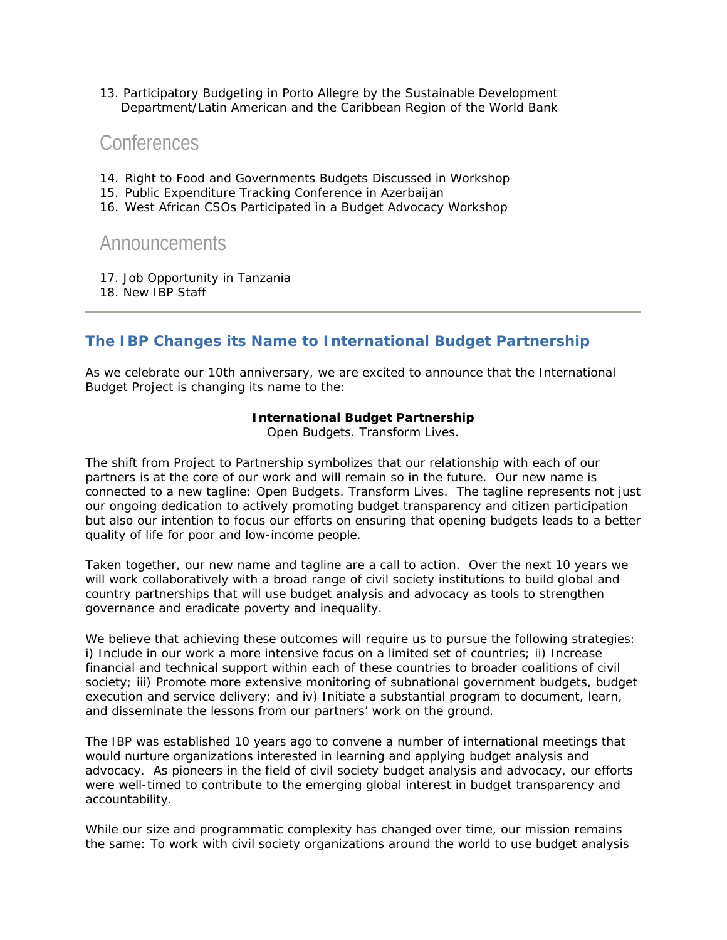13. Participatory Budgeting in Porto Allegre by the Sustainable Development Department/Latin American and the Caribbean Region of the World Bank

## **Conferences**

- 14. Right to Food and Governments Budgets Discussed in Workshop
- 15. Public Expenditure Tracking Conference in Azerbaijan
- 16. West African CSOs Participated in a Budget Advocacy Workshop

## Announcements

- 17. Job Opportunity in Tanzania
- 18. New IBP Staff

## **The IBP Changes its Name to International Budget Partnership**

As we celebrate our 10th anniversary, we are excited to announce that the International Budget Project is changing its name to the:

#### **International Budget Partnership**

Open Budgets. Transform Lives.

The shift from Project to Partnership symbolizes that our relationship with each of our partners is at the core of our work and will remain so in the future. Our new name is connected to a new tagline: Open Budgets. Transform Lives. The tagline represents not just our ongoing dedication to actively promoting budget transparency and citizen participation but also our intention to focus our efforts on ensuring that opening budgets leads to a better quality of life for poor and low-income people.

Taken together, our new name and tagline are a call to action. Over the next 10 years we will work collaboratively with a broad range of civil society institutions to build global and country partnerships that will use budget analysis and advocacy as tools to strengthen governance and eradicate poverty and inequality.

We believe that achieving these outcomes will require us to pursue the following strategies: i) Include in our work a more intensive focus on a limited set of countries; ii) Increase financial and technical support within each of these countries to broader coalitions of civil society; iii) Promote more extensive monitoring of subnational government budgets, budget execution and service delivery; and iv) Initiate a substantial program to document, learn, and disseminate the lessons from our partners' work on the ground.

The IBP was established 10 years ago to convene a number of international meetings that would nurture organizations interested in learning and applying budget analysis and advocacy. As pioneers in the field of civil society budget analysis and advocacy, our efforts were well-timed to contribute to the emerging global interest in budget transparency and accountability.

While our size and programmatic complexity has changed over time, our mission remains the same: To work with civil society organizations around the world to use budget analysis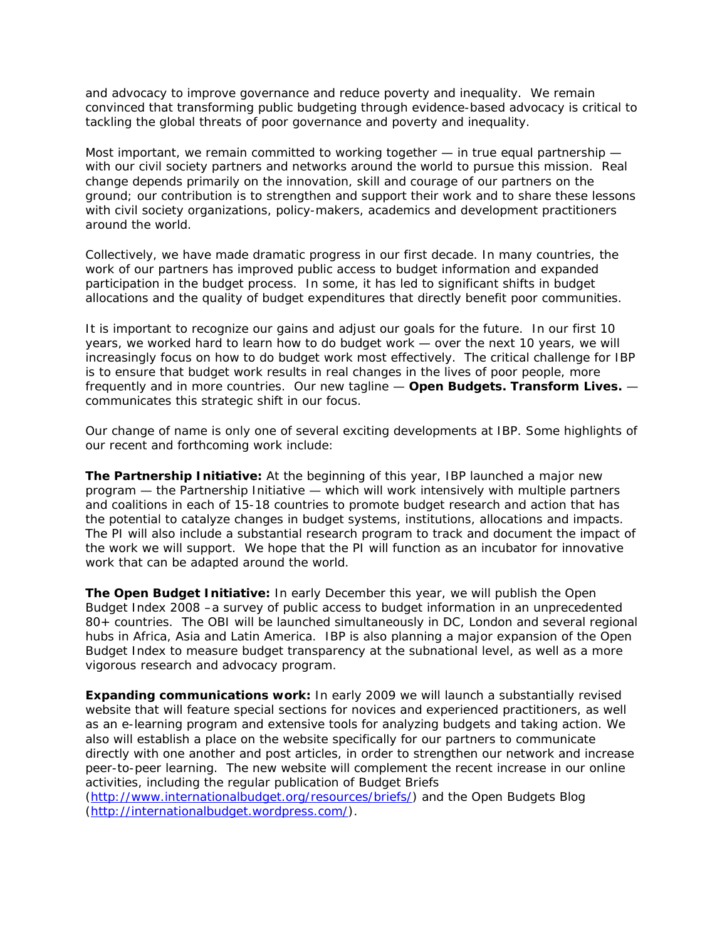and advocacy to improve governance and reduce poverty and inequality. We remain convinced that transforming public budgeting through evidence-based advocacy is critical to tackling the global threats of poor governance and poverty and inequality.

Most important, we remain committed to working together — in true equal partnership with our civil society partners and networks around the world to pursue this mission. Real change depends primarily on the innovation, skill and courage of our partners on the ground; our contribution is to strengthen and support their work and to share these lessons with civil society organizations, policy-makers, academics and development practitioners around the world.

Collectively, we have made dramatic progress in our first decade. In many countries, the work of our partners has improved public access to budget information and expanded participation in the budget process. In some, it has led to significant shifts in budget allocations and the quality of budget expenditures that directly benefit poor communities.

It is important to recognize our gains and adjust our goals for the future. In our first 10 years, we worked hard to *learn how to do budget work* — over the next 10 years, we will increasingly focus on *how to do budget work most effectively.* The critical challenge for IBP is to ensure that budget work results in real changes in the lives of poor people, more frequently and in more countries. Our new tagline — **Open Budgets. Transform Lives.** communicates this strategic shift in our focus.

Our change of name is only one of several exciting developments at IBP. Some highlights of our recent and forthcoming work include:

**The Partnership Initiative**: At the beginning of this year, IBP launched a major new program — the Partnership Initiative — which will work intensively with multiple partners and coalitions in each of 15-18 countries to promote budget research and action that has the potential to catalyze changes in budget systems, institutions, allocations and impacts. The PI will also include a substantial research program to track and document the impact of the work we will support. We hope that the PI will function as an incubator for innovative work that can be adapted around the world.

*The Open Budget Initiative***:** In early December this year, we will publish the Open Budget Index 2008 –a survey of public access to budget information in an unprecedented 80+ countries. The OBI will be launched simultaneously in DC, London and several regional hubs in Africa, Asia and Latin America. IBP is also planning a major expansion of the Open Budget Index to measure budget transparency at the subnational level, as well as a more vigorous research and advocacy program.

**Expanding communications work:** In early 2009 we will launch a substantially revised website that will feature special sections for novices and experienced practitioners, as well as an e-learning program and extensive tools for analyzing budgets and taking action. We also will establish a place on the website specifically for our partners to communicate directly with one another and post articles, in order to strengthen our network and increase peer-to-peer learning. The new website will complement the recent increase in our online activities, including the regular publication of *Budget Briefs*

(<http://www.internationalbudget.org/resources/briefs/>) and the *Open Budgets Blog* (<http://internationalbudget.wordpress.com/>).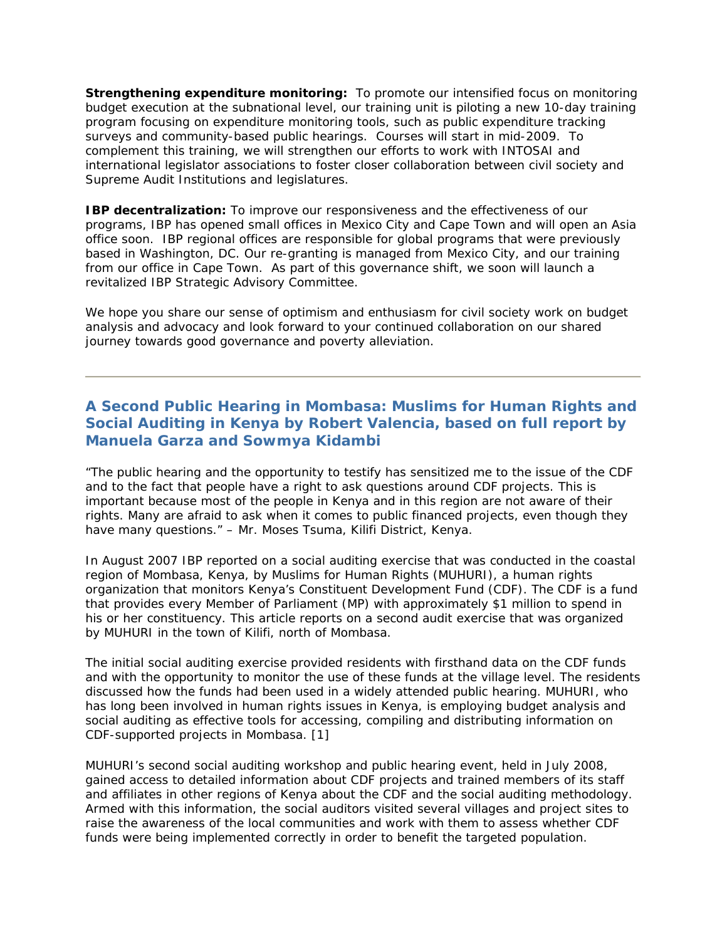*Strengthening expenditure monitoring:* To promote our intensified focus on monitoring budget execution at the subnational level, our training unit is piloting a new 10-day training program focusing on expenditure monitoring tools, such as public expenditure tracking surveys and community-based public hearings. Courses will start in mid-2009. To complement this training, we will strengthen our efforts to work with INTOSAI and international legislator associations to foster closer collaboration between civil society and Supreme Audit Institutions and legislatures.

*IBP decentralization*: To improve our responsiveness and the effectiveness of our programs, IBP has opened small offices in Mexico City and Cape Town and will open an Asia office soon. IBP regional offices are responsible for global programs that were previously based in Washington, DC. Our re-granting is managed from Mexico City, and our training from our office in Cape Town. As part of this governance shift, we soon will launch a revitalized IBP Strategic Advisory Committee.

We hope you share our sense of optimism and enthusiasm for civil society work on budget analysis and advocacy and look forward to your continued collaboration on our shared journey towards good governance and poverty alleviation.

## **A Second Public Hearing in Mombasa: Muslims for Human Rights and Social Auditing in Kenya by Robert Valencia, based on full report by Manuela Garza and Sowmya Kidambi**

*"The public hearing and the opportunity to testify has sensitized me to the issue of the CDF and to the fact that people have a right to ask questions around CDF projects. This is important because most of the people in Kenya and in this region are not aware of their rights. Many are afraid to ask when it comes to public financed projects, even though they have many questions."* – Mr. Moses Tsuma, Kilifi District, Kenya.

In August 2007 IBP reported on a social auditing exercise that was conducted in the coastal region of Mombasa, Kenya, by Muslims for Human Rights (MUHURI), a human rights organization that monitors Kenya's Constituent Development Fund (CDF). The CDF is a fund that provides every Member of Parliament (MP) with approximately \$1 million to spend in his or her constituency. This article reports on a second audit exercise that was organized by MUHURI in the town of Kilifi, north of Mombasa.

The initial social auditing exercise provided residents with firsthand data on the CDF funds and with the opportunity to monitor the use of these funds at the village level. The residents discussed how the funds had been used in a widely attended public hearing. MUHURI, who has long been involved in human rights issues in Kenya, is employing budget analysis and social auditing as effective tools for accessing, compiling and distributing information on CDF-supported projects in Mombasa. [1]

MUHURI's second social auditing workshop and public hearing event, held in July 2008, gained access to detailed information about CDF projects and trained members of its staff and affiliates in other regions of Kenya about the CDF and the social auditing methodology. Armed with this information, the social auditors visited several villages and project sites to raise the awareness of the local communities and work with them to assess whether CDF funds were being implemented correctly in order to benefit the targeted population.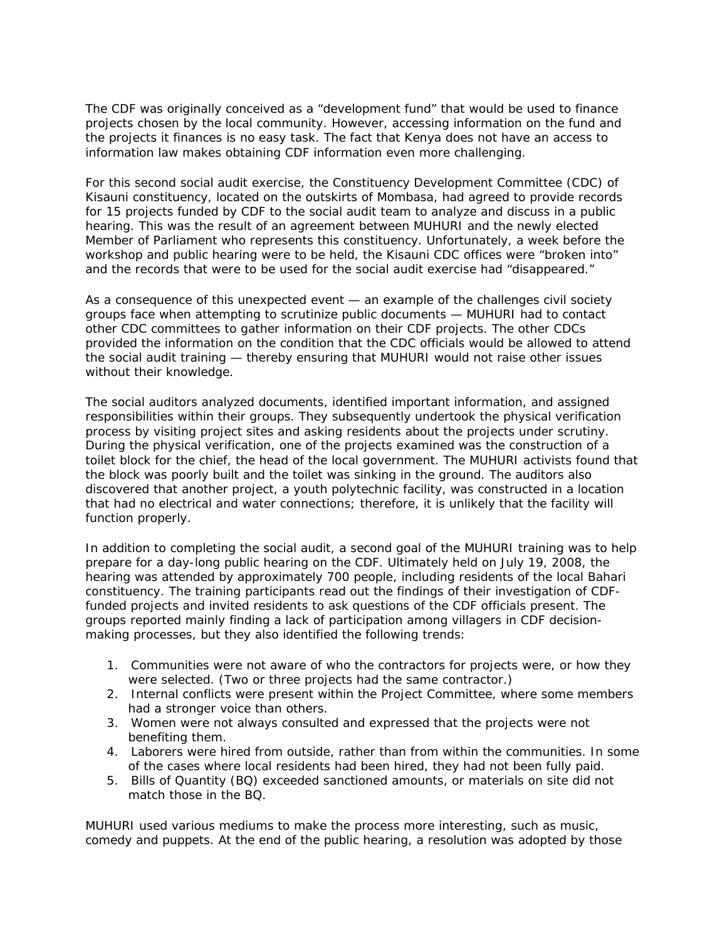The CDF was originally conceived as a "development fund" that would be used to finance projects chosen by the local community. However, accessing information on the fund and the projects it finances is no easy task. The fact that Kenya does not have an access to information law makes obtaining CDF information even more challenging.

For this second social audit exercise, the Constituency Development Committee (CDC) of Kisauni constituency, located on the outskirts of Mombasa, had agreed to provide records for 15 projects funded by CDF to the social audit team to analyze and discuss in a public hearing. This was the result of an agreement between MUHURI and the newly elected Member of Parliament who represents this constituency. Unfortunately, a week before the workshop and public hearing were to be held, the Kisauni CDC offices were "broken into" and the records that were to be used for the social audit exercise had "disappeared."

As a consequence of this unexpected event — an example of the challenges civil society groups face when attempting to scrutinize public documents — MUHURI had to contact other CDC committees to gather information on their CDF projects. The other CDCs provided the information on the condition that the CDC officials would be allowed to attend the social audit training — thereby ensuring that MUHURI would not raise other issues without their knowledge.

The social auditors analyzed documents, identified important information, and assigned responsibilities within their groups. They subsequently undertook the physical verification process by visiting project sites and asking residents about the projects under scrutiny. During the physical verification, one of the projects examined was the construction of a toilet block for the chief, the head of the local government. The MUHURI activists found that the block was poorly built and the toilet was sinking in the ground. The auditors also discovered that another project, a youth polytechnic facility, was constructed in a location that had no electrical and water connections; therefore, it is unlikely that the facility will function properly.

In addition to completing the social audit, a second goal of the MUHURI training was to help prepare for a day-long public hearing on the CDF. Ultimately held on July 19, 2008, the hearing was attended by approximately 700 people, including residents of the local Bahari constituency. The training participants read out the findings of their investigation of CDFfunded projects and invited residents to ask questions of the CDF officials present. The groups reported mainly finding a lack of participation among villagers in CDF decisionmaking processes, but they also identified the following trends:

- 1. Communities were not aware of who the contractors for projects were, or how they were selected. (Two or three projects had the same contractor.)
- 2. Internal conflicts were present within the Project Committee, where some members had a stronger voice than others.
- 3. Women were not always consulted and expressed that the projects were not benefiting them.
- 4. Laborers were hired from outside, rather than from within the communities. In some of the cases where local residents had been hired, they had not been fully paid.
- 5. Bills of Quantity (BQ) exceeded sanctioned amounts, or materials on site did not match those in the BQ.

MUHURI used various mediums to make the process more interesting, such as music, comedy and puppets. At the end of the public hearing, a resolution was adopted by those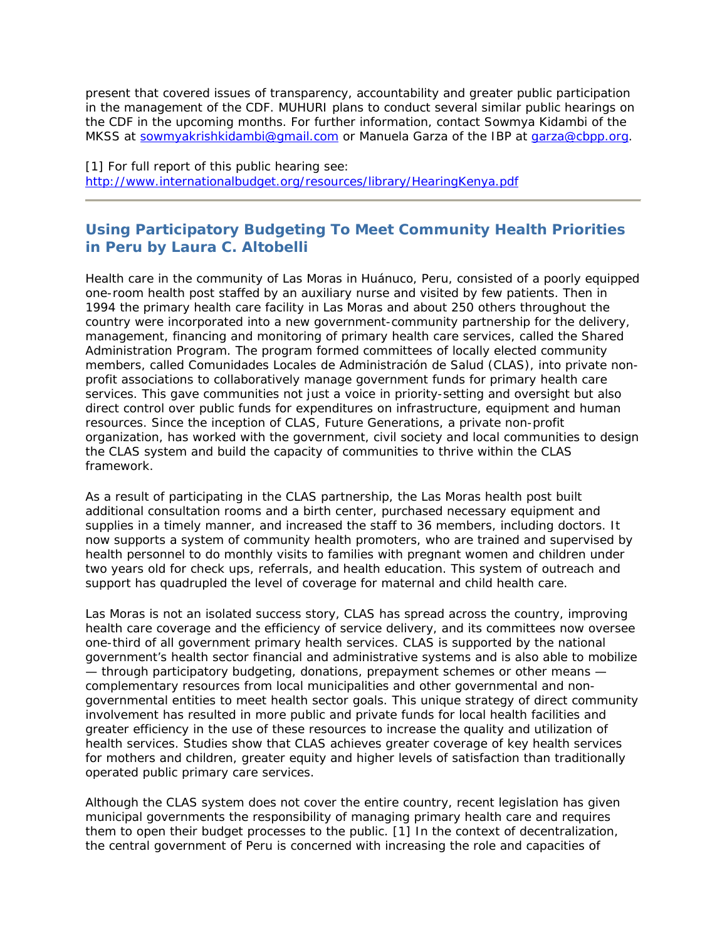present that covered issues of transparency, accountability and greater public participation in the management of the CDF. MUHURI plans to conduct several similar public hearings on the CDF in the upcoming months. For further information, contact Sowmya Kidambi of the MKSS at [sowmyakrishkidambi@gmail.com](mailto:sowmyakrishkidambi@gmail.com) or Manuela Garza of the IBP at [garza@cbpp.org.](mailto:garza@cbpp.org)

[1] For full report of this public hearing see: <http://www.internationalbudget.org/resources/library/HearingKenya.pdf>

## **Using Participatory Budgeting To Meet Community Health Priorities in Peru by Laura C. Altobelli**

Health care in the community of Las Moras in Huánuco, Peru, consisted of a poorly equipped one-room health post staffed by an auxiliary nurse and visited by few patients. Then in 1994 the primary health care facility in Las Moras and about 250 others throughout the country were incorporated into a new government-community partnership for the delivery, management, financing and monitoring of primary health care services, called the Shared Administration Program. The program formed committees of locally elected community members, called Comunidades Locales de Administración de Salud (CLAS), into private nonprofit associations to collaboratively manage government funds for primary health care services. This gave communities not just a voice in priority-setting and oversight but also direct control over public funds for expenditures on infrastructure, equipment and human resources. Since the inception of CLAS, Future Generations, a private non-profit organization, has worked with the government, civil society and local communities to design the CLAS system and build the capacity of communities to thrive within the CLAS framework.

As a result of participating in the CLAS partnership, the Las Moras health post built additional consultation rooms and a birth center, purchased necessary equipment and supplies in a timely manner, and increased the staff to 36 members, including doctors. It now supports a system of community health promoters, who are trained and supervised by health personnel to do monthly visits to families with pregnant women and children under two years old for check ups, referrals, and health education. This system of outreach and support has quadrupled the level of coverage for maternal and child health care.

Las Moras is not an isolated success story, CLAS has spread across the country, improving health care coverage and the efficiency of service delivery, and its committees now oversee one-third of all government primary health services. CLAS is supported by the national government's health sector financial and administrative systems and is also able to mobilize — through participatory budgeting, donations, prepayment schemes or other means complementary resources from local municipalities and other governmental and nongovernmental entities to meet health sector goals. This unique strategy of direct community involvement has resulted in more public and private funds for local health facilities and greater efficiency in the use of these resources to increase the quality and utilization of health services. Studies show that CLAS achieves greater coverage of key health services for mothers and children, greater equity and higher levels of satisfaction than traditionally operated public primary care services.

Although the CLAS system does not cover the entire country, recent legislation has given municipal governments the responsibility of managing primary health care and requires them to open their budget processes to the public. [1] In the context of decentralization, the central government of Peru is concerned with increasing the role and capacities of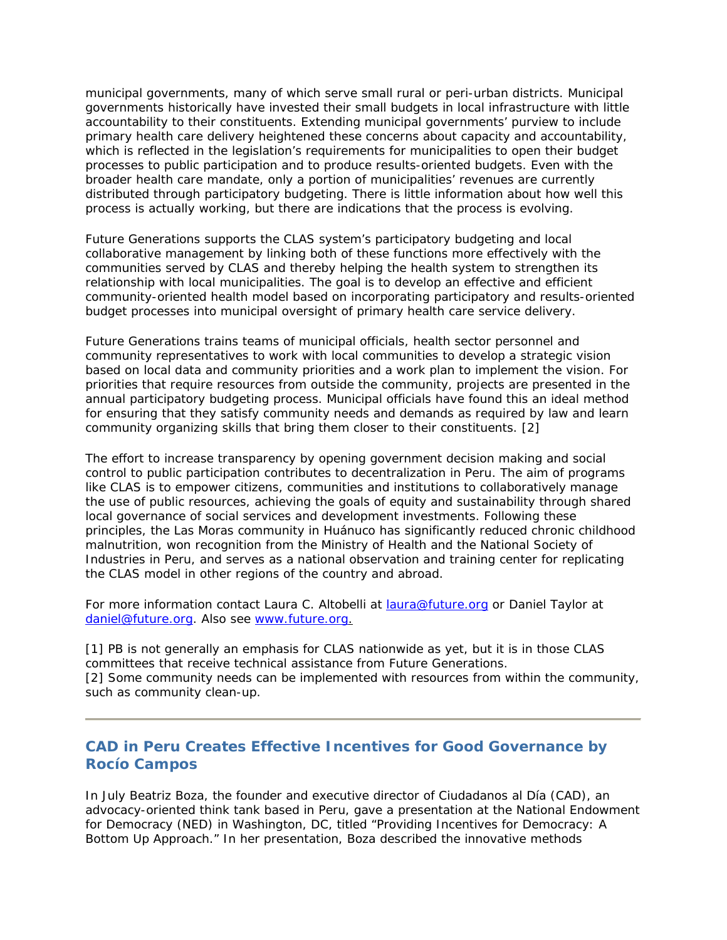municipal governments, many of which serve small rural or peri-urban districts. Municipal governments historically have invested their small budgets in local infrastructure with little accountability to their constituents. Extending municipal governments' purview to include primary health care delivery heightened these concerns about capacity and accountability, which is reflected in the legislation's requirements for municipalities to open their budget processes to public participation and to produce results-oriented budgets. Even with the broader health care mandate, only a portion of municipalities' revenues are currently distributed through participatory budgeting. There is little information about how well this process is actually working, but there are indications that the process is evolving.

Future Generations supports the CLAS system's participatory budgeting and local collaborative management by linking both of these functions more effectively with the communities served by CLAS and thereby helping the health system to strengthen its relationship with local municipalities. The goal is to develop an effective and efficient community-oriented health model based on incorporating participatory and results-oriented budget processes into municipal oversight of primary health care service delivery.

Future Generations trains teams of municipal officials, health sector personnel and community representatives to work with local communities to develop a strategic vision based on local data and community priorities and a work plan to implement the vision. For priorities that require resources from outside the community, projects are presented in the annual participatory budgeting process. Municipal officials have found this an ideal method for ensuring that they satisfy community needs and demands as required by law and learn community organizing skills that bring them closer to their constituents. [2]

The effort to increase transparency by opening government decision making and social control to public participation contributes to decentralization in Peru. The aim of programs like CLAS is to empower citizens, communities and institutions to collaboratively manage the use of public resources, achieving the goals of equity and sustainability through shared local governance of social services and development investments. Following these principles, the Las Moras community in Huánuco has significantly reduced chronic childhood malnutrition, won recognition from the Ministry of Health and the National Society of Industries in Peru, and serves as a national observation and training center for replicating the CLAS model in other regions of the country and abroad.

For more information contact Laura C. Altobelli at [laura@future.org](mailto:laura@future.org) or Daniel Taylor at [daniel@future.org.](mailto:daniel@future.org) Also see [www.future.org](http://www.future.org/).

[1] PB is not generally an emphasis for CLAS nationwide as yet, but it is in those CLAS committees that receive technical assistance from Future Generations. [2] Some community needs can be implemented with resources from within the community, such as community clean-up.

### **CAD in Peru Creates Effective Incentives for Good Governance by Rocío Campos**

In July Beatriz Boza, the founder and executive director of Ciudadanos al Día (CAD), an advocacy-oriented think tank based in Peru, gave a presentation at the National Endowment for Democracy (NED) in Washington, DC, titled "Providing Incentives for Democracy: A Bottom Up Approach." In her presentation, Boza described the innovative methods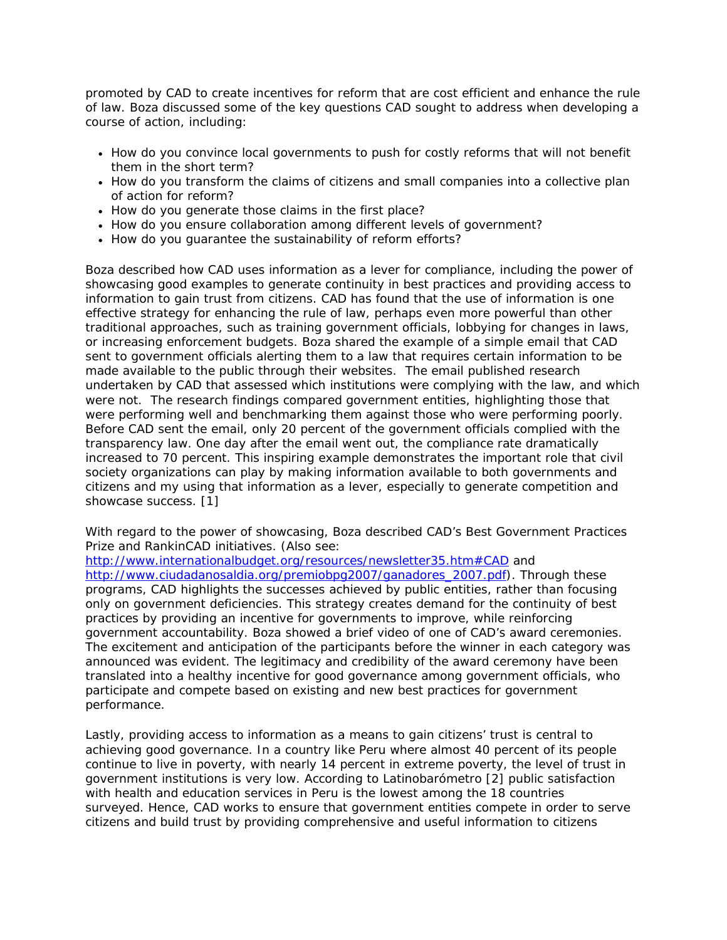promoted by CAD to create incentives for reform that are cost efficient and enhance the rule of law. Boza discussed some of the key questions CAD sought to address when developing a course of action, including:

- How do you convince local governments to push for costly reforms that will not benefit them in the short term?
- How do you transform the claims of citizens and small companies into a collective plan of action for reform?
- How do you generate those claims in the first place?
- How do you ensure collaboration among different levels of government?
- How do you guarantee the sustainability of reform efforts?

Boza described how CAD uses information as a lever for compliance, including the power of showcasing good examples to generate continuity in best practices and providing access to information to gain trust from citizens. CAD has found that the use of information is one effective strategy for enhancing the rule of law, perhaps even more powerful than other traditional approaches, such as training government officials, lobbying for changes in laws, or increasing enforcement budgets. Boza shared the example of a simple email that CAD sent to government officials alerting them to a law that requires certain information to be made available to the public through their websites. The email published research undertaken by CAD that assessed which institutions were complying with the law, and which were not. The research findings compared government entities, highlighting those that were performing well and benchmarking them against those who were performing poorly. Before CAD sent the email, only 20 percent of the government officials complied with the transparency law. One day after the email went out, the compliance rate dramatically increased to 70 percent. This inspiring example demonstrates the important role that civil society organizations can play by making information available to both governments and citizens and my using that information as a lever, especially to generate competition and showcase success. [1]

With regard to the power of showcasing, Boza described CAD's Best Government Practices Prize and RankinCAD initiatives. (Also see:

<http://www.internationalbudget.org/resources/newsletter35.htm#CAD>and [http://www.ciudadanosaldia.org/premiobpg2007/ganadores\\_2007.pdf\)](http://www.ciudadanosaldia.org/premiobpg2007/ganadores_2007.pdf). Through these programs, CAD highlights the successes achieved by public entities, rather than focusing only on government deficiencies. This strategy creates demand for the continuity of best practices by providing an incentive for governments to improve, while reinforcing government accountability. Boza showed a brief video of one of CAD's award ceremonies. The excitement and anticipation of the participants before the winner in each category was announced was evident. The legitimacy and credibility of the award ceremony have been translated into a healthy incentive for good governance among government officials, who participate and compete based on existing and new best practices for government performance.

Lastly, providing access to information as a means to gain citizens' trust is central to achieving good governance. In a country like Peru where almost 40 percent of its people continue to live in poverty, with nearly 14 percent in extreme poverty, the level of trust in government institutions is very low. According to *Latinobarómetro* [2] public satisfaction with health and education services in Peru is the lowest among the 18 countries surveyed. Hence, CAD works to ensure that government entities compete in order to serve citizens and build trust by providing comprehensive and useful information to citizens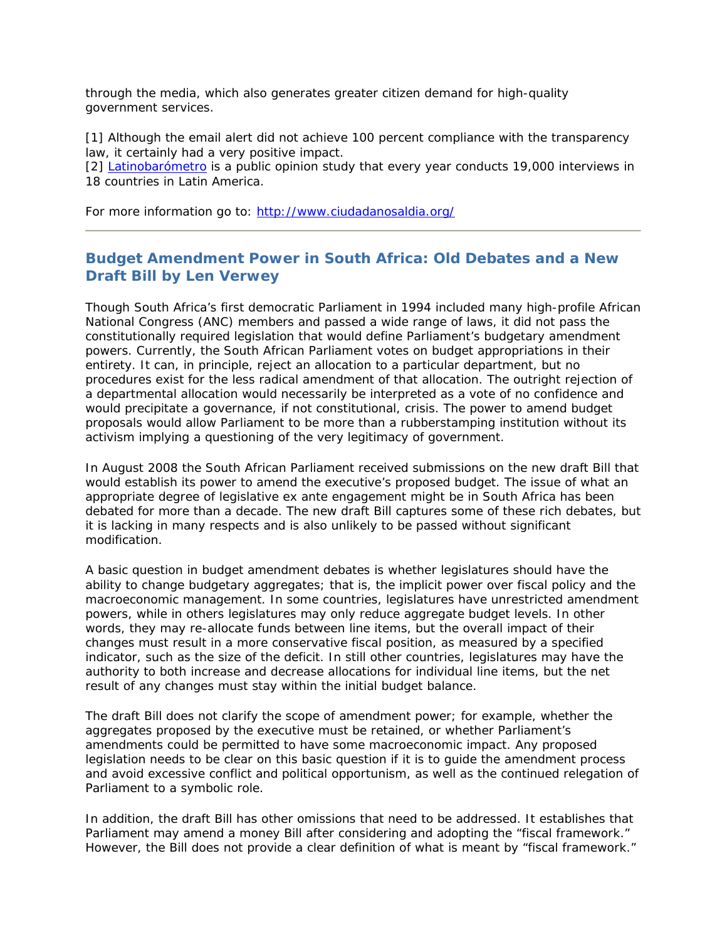through the media, which also generates greater citizen demand for high-quality government services.

[1] Although the email alert did not achieve 100 percent compliance with the transparency law, it certainly had a very positive impact.

[2] *[Latinobarómetro](http://www.latinobarometro.org/)* is a public opinion study that every year conducts 19,000 interviews in 18 countries in Latin America.

For more information go to:<http://www.ciudadanosaldia.org/>

## **Budget Amendment Power in South Africa: Old Debates and a New Draft Bill by Len Verwey**

Though South Africa's first democratic Parliament in 1994 included many high-profile African National Congress (ANC) members and passed a wide range of laws, it did not pass the constitutionally required legislation that would define Parliament's budgetary amendment powers. Currently, the South African Parliament votes on budget appropriations in their entirety. It can, in principle, reject an allocation to a particular department, but no procedures exist for the less radical amendment of that allocation. The outright rejection of a departmental allocation would necessarily be interpreted as a vote of no confidence and would precipitate a governance, if not constitutional, crisis. The power to amend budget proposals would allow Parliament to be more than a rubberstamping institution without its activism implying a questioning of the very legitimacy of government.

In August 2008 the South African Parliament received submissions on the new draft Bill that would establish its power to amend the executive's proposed budget. The issue of what an appropriate degree of legislative *ex ante* engagement might be in South Africa has been debated for more than a decade. The new draft Bill captures some of these rich debates, but it is lacking in many respects and is also unlikely to be passed without significant modification.

A basic question in budget amendment debates is whether legislatures should have the ability to change budgetary aggregates; that is, the implicit power over fiscal policy and the macroeconomic management. In some countries, legislatures have unrestricted amendment powers, while in others legislatures may only reduce aggregate budget levels. In other words, they may re-allocate funds between line items, but the overall impact of their changes must result in a more conservative fiscal position, as measured by a specified indicator, such as the size of the deficit. In still other countries, legislatures may have the authority to both increase and decrease allocations for individual line items, but the net result of any changes must stay within the initial budget balance.

The draft Bill does not clarify the *scope* of amendment power; for example, whether the aggregates proposed by the executive must be retained, or whether Parliament's amendments could be permitted to have some macroeconomic impact. Any proposed legislation needs to be clear on this basic question if it is to guide the amendment process and avoid excessive conflict and political opportunism, as well as the continued relegation of Parliament to a symbolic role.

In addition, the draft Bill has other omissions that need to be addressed. It establishes that Parliament may amend a money Bill after considering and adopting the "fiscal framework." However, the Bill does not provide a clear definition of what is meant by "fiscal framework."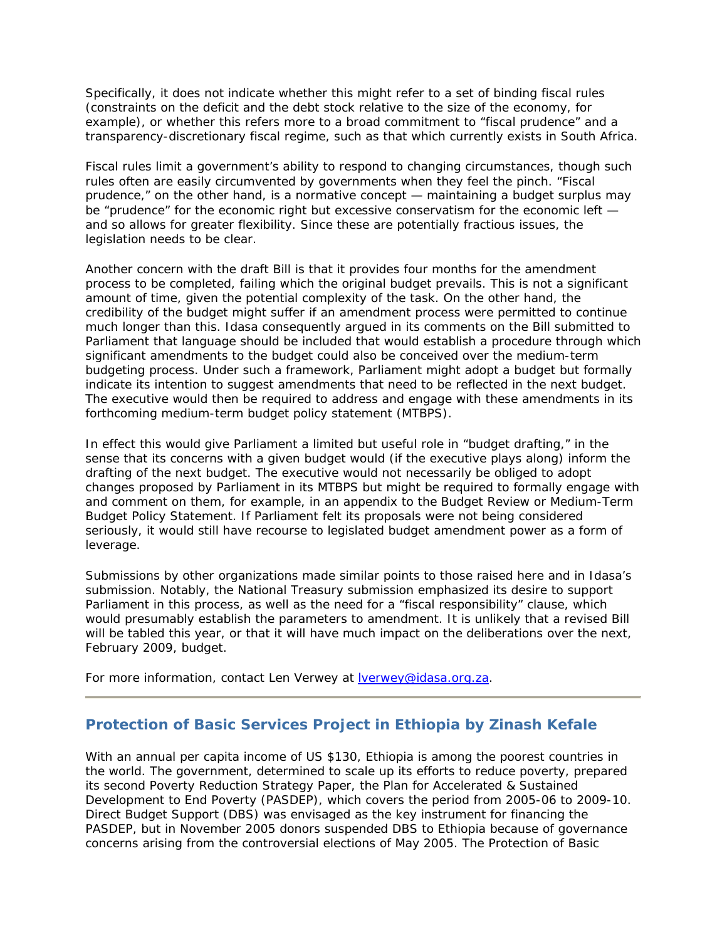Specifically, it does not indicate whether this might refer to a set of binding fiscal rules (constraints on the deficit and the debt stock relative to the size of the economy, for example), or whether this refers more to a broad commitment to "fiscal prudence" and a transparency-discretionary fiscal regime, such as that which currently exists in South Africa.

Fiscal rules limit a government's ability to respond to changing circumstances, though such rules often are easily circumvented by governments when they feel the pinch. "Fiscal prudence," on the other hand, is a normative concept — maintaining a budget surplus may be "prudence" for the economic right but excessive conservatism for the economic left and so allows for greater flexibility. Since these are potentially fractious issues, the legislation needs to be clear.

Another concern with the draft Bill is that it provides four months for the amendment process to be completed, failing which the original budget prevails. This is not a significant amount of time, given the potential complexity of the task. On the other hand, the credibility of the budget might suffer if an amendment process were permitted to continue much longer than this. Idasa consequently argued in its comments on the Bill submitted to Parliament that language should be included that would establish a procedure through which significant amendments to the budget could also be conceived over the medium-term budgeting process. Under such a framework, Parliament might adopt a budget but formally indicate its intention to suggest amendments that need to be reflected in the next budget. The executive would then be required to address and engage with these amendments in its forthcoming medium-term budget policy statement (MTBPS).

In effect this would give Parliament a limited but useful role in "budget drafting," in the sense that its concerns with a given budget would (if the executive plays along) inform the drafting of the next budget. The executive would not necessarily be obliged to adopt changes proposed by Parliament in its MTBPS but might be required to formally engage with and comment on them, for example, in an appendix to the *Budget Review* or *Medium-Term Budget Policy Statement*. If Parliament felt its proposals were not being considered seriously, it would still have recourse to legislated budget amendment power as a form of leverage.

Submissions by other organizations made similar points to those raised here and in Idasa's submission. Notably, the National Treasury submission emphasized its desire to support Parliament in this process, as well as the need for a "fiscal responsibility" clause, which would presumably establish the parameters to amendment. It is unlikely that a revised Bill will be tabled this year, or that it will have much impact on the deliberations over the next, February 2009, budget.

For more information, contact Len Verwey at **Verwey@idasa.org.za.** 

#### **Protection of Basic Services Project in Ethiopia by Zinash Kefale**

With an annual per capita income of US \$130, Ethiopia is among the poorest countries in the world. The government, determined to scale up its efforts to reduce poverty, prepared its second Poverty Reduction Strategy Paper, the Plan for Accelerated & Sustained Development to End Poverty (PASDEP), which covers the period from 2005-06 to 2009-10. Direct Budget Support (DBS) was envisaged as the key instrument for financing the PASDEP, but in November 2005 donors suspended DBS to Ethiopia because of governance concerns arising from the controversial elections of May 2005. The Protection of Basic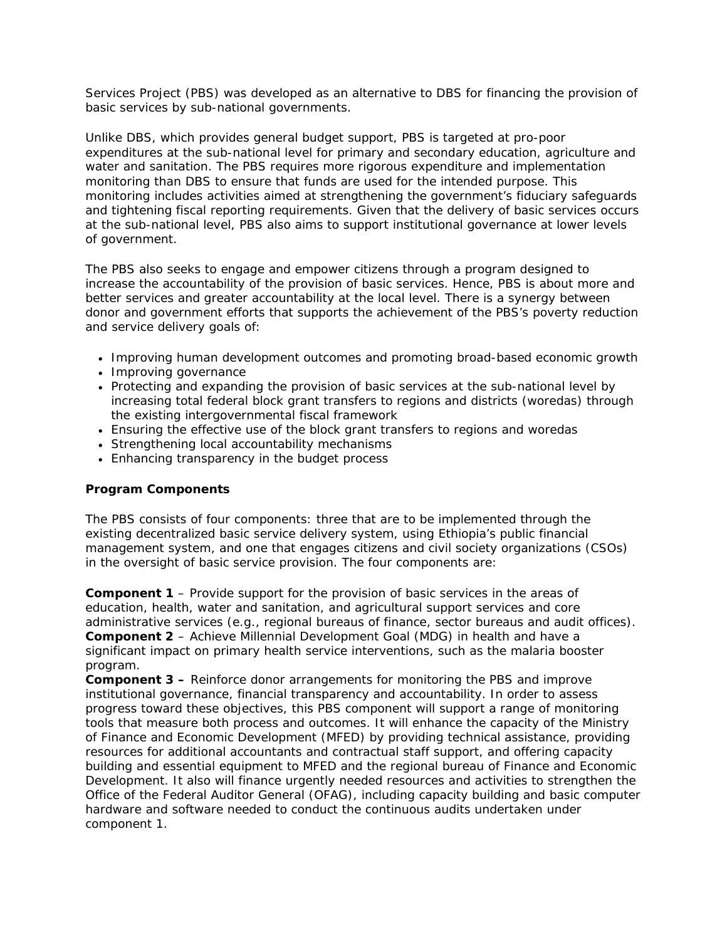Services Project (PBS) was developed as an alternative to DBS for financing the provision of basic services by sub-national governments.

Unlike DBS, which provides general budget support, PBS is targeted at pro-poor expenditures at the sub-national level for primary and secondary education, agriculture and water and sanitation. The PBS requires more rigorous expenditure and implementation monitoring than DBS to ensure that funds are used for the intended purpose. This monitoring includes activities aimed at strengthening the government's fiduciary safeguards and tightening fiscal reporting requirements. Given that the delivery of basic services occurs at the sub-national level, PBS also aims to support institutional governance at lower levels of government.

The PBS also seeks to engage and empower citizens through a program designed to increase the accountability of the provision of basic services. Hence, PBS is about more and better services and greater accountability at the local level. There is a synergy between donor and government efforts that supports the achievement of the PBS's poverty reduction and service delivery goals of:

- Improving human development outcomes and promoting broad-based economic growth
- Improving governance
- Protecting and expanding the provision of basic services at the sub-national level by increasing total federal block grant transfers to regions and districts (woredas) through the existing intergovernmental fiscal framework
- Ensuring the effective use of the block grant transfers to regions and woredas
- Strengthening local accountability mechanisms
- Enhancing transparency in the budget process

#### **Program Components**

The PBS consists of four components: three that are to be implemented through the existing decentralized basic service delivery system, using Ethiopia's public financial management system, and one that engages citizens and civil society organizations (CSOs) in the oversight of basic service provision. The four components are:

**Component 1** – Provide support for the provision of basic services in the areas of education, health, water and sanitation, and agricultural support services and core administrative services (e.g., regional bureaus of finance, sector bureaus and audit offices). **Component 2** – Achieve Millennial Development Goal (MDG) in health and have a significant impact on primary health service interventions, such as the malaria booster program.

**Component 3 –** Reinforce donor arrangements for monitoring the PBS and improve institutional governance, financial transparency and accountability. In order to assess progress toward these objectives, this PBS component will support a range of monitoring tools that measure both process and outcomes. It will enhance the capacity of the Ministry of Finance and Economic Development (MFED) by providing technical assistance, providing resources for additional accountants and contractual staff support, and offering capacity building and essential equipment to MFED and the regional bureau of Finance and Economic Development. It also will finance urgently needed resources and activities to strengthen the Office of the Federal Auditor General (OFAG), including capacity building and basic computer hardware and software needed to conduct the continuous audits undertaken under component 1.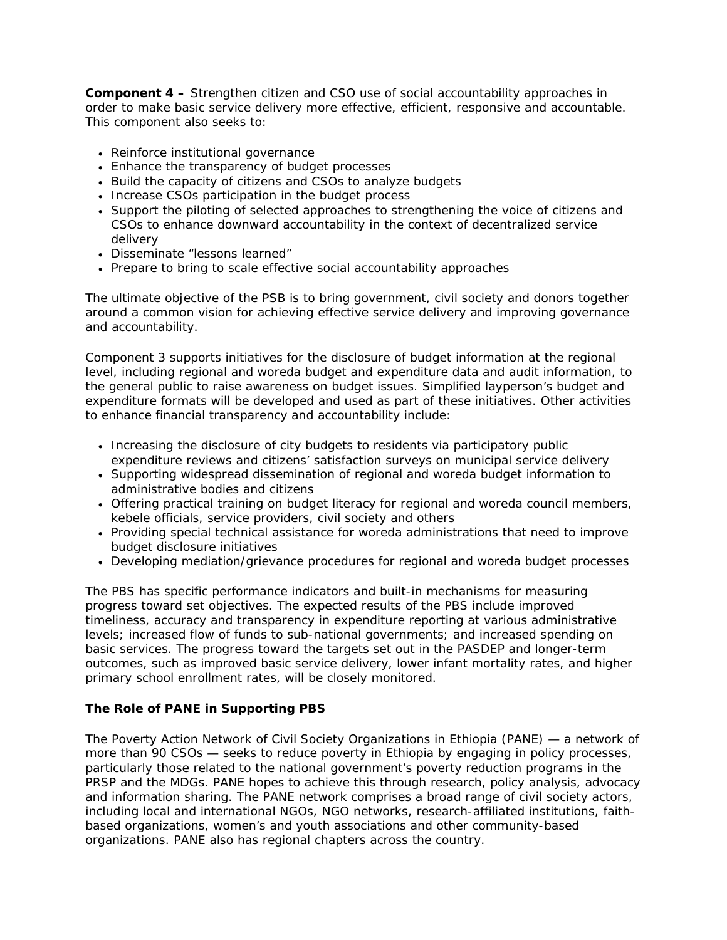**Component 4 –** Strengthen citizen and CSO use of social accountability approaches in order to make basic service delivery more effective, efficient, responsive and accountable. This component also seeks to:

- Reinforce institutional governance
- Enhance the transparency of budget processes
- Build the capacity of citizens and CSOs to analyze budgets
- Increase CSOs participation in the budget process
- Support the piloting of selected approaches to strengthening the voice of citizens and CSOs to enhance downward accountability in the context of decentralized service delivery
- Disseminate "lessons learned"
- Prepare to bring to scale effective social accountability approaches

The ultimate objective of the PSB is to bring government, civil society and donors together around a common vision for achieving effective service delivery and improving governance and accountability.

Component 3 supports initiatives for the disclosure of budget information at the regional level, including regional and woreda budget and expenditure data and audit information, to the general public to raise awareness on budget issues. Simplified layperson's budget and expenditure formats will be developed and used as part of these initiatives. Other activities to enhance financial transparency and accountability include:

- Increasing the disclosure of city budgets to residents via participatory public expenditure reviews and citizens' satisfaction surveys on municipal service delivery
- Supporting widespread dissemination of regional and woreda budget information to administrative bodies and citizens
- Offering practical training on budget literacy for regional and woreda council members, kebele officials, service providers, civil society and others
- Providing special technical assistance for woreda administrations that need to improve budget disclosure initiatives
- Developing mediation/grievance procedures for regional and woreda budget processes

The PBS has specific performance indicators and built-in mechanisms for measuring progress toward set objectives. The expected results of the PBS include improved timeliness, accuracy and transparency in expenditure reporting at various administrative levels; increased flow of funds to sub-national governments; and increased spending on basic services. The progress toward the targets set out in the PASDEP and longer-term outcomes, such as improved basic service delivery, lower infant mortality rates, and higher primary school enrollment rates, will be closely monitored.

#### **The Role of PANE in Supporting PBS**

The Poverty Action Network of Civil Society Organizations in Ethiopia (PANE) — a network of more than 90 CSOs — seeks to reduce poverty in Ethiopia by engaging in policy processes, particularly those related to the national government's poverty reduction programs in the PRSP and the MDGs. PANE hopes to achieve this through research, policy analysis, advocacy and information sharing. The PANE network comprises a broad range of civil society actors, including local and international NGOs, NGO networks, research-affiliated institutions, faithbased organizations, women's and youth associations and other community-based organizations. PANE also has regional chapters across the country.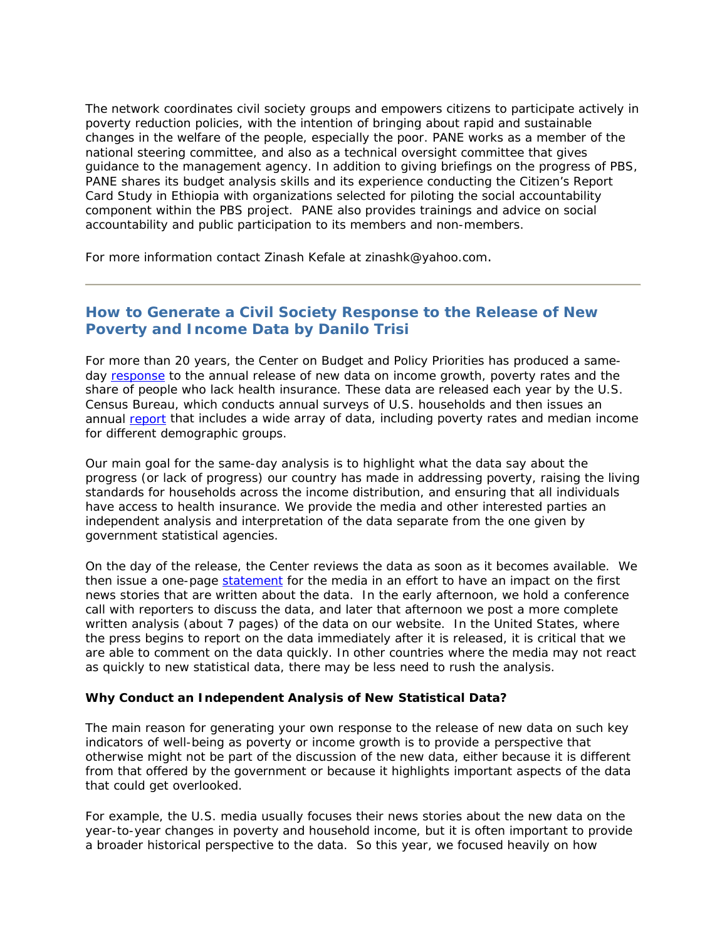The network coordinates civil society groups and empowers citizens to participate actively in poverty reduction policies, with the intention of bringing about rapid and sustainable changes in the welfare of the people, especially the poor. PANE works as a member of the national steering committee, and also as a technical oversight committee that gives guidance to the management agency. In addition to giving briefings on the progress of PBS, PANE shares its budget analysis skills and its experience conducting the Citizen's Report Card Study in Ethiopia with organizations selected for piloting the social accountability component within the PBS project. PANE also provides trainings and advice on social accountability and public participation to its members and non-members.

For more information contact Zinash Kefale at [zinashk@yahoo.com.](http://us.mc318.mail.yahoo.com/mc/compose?to=zinashk@yahoo.com)

## **How to Generate a Civil Society Response to the Release of New Poverty and Income Data by Danilo Trisi**

For more than 20 years, the Center on Budget and Policy Priorities has produced a sameday [response](http://www.cbpp.org/8-26-08pov.htm) to the annual release of new data on income growth, poverty rates and the share of people who lack health insurance. These data are released each year by the U.S. Census Bureau, which conducts annual surveys of U.S. households and then issues an annual [report](http://www.census.gov/hhes/www/poverty/poverty07.html) that includes a wide array of data, including poverty rates and median income for different demographic groups.

Our main goal for the same-day analysis is to highlight what the data say about the progress (or lack of progress) our country has made in addressing poverty, raising the living standards for households across the income distribution, and ensuring that all individuals have access to health insurance. We provide the media and other interested parties an independent analysis and interpretation of the data separate from the one given by government statistical agencies.

On the day of the release, the Center reviews the data as soon as it becomes available. We then issue a one-page [statement](http://www.cbpp.org/8-26-08pov-stmt.htm) for the media in an effort to have an impact on the first news stories that are written about the data. In the early afternoon, we hold a conference call with reporters to discuss the data, and later that afternoon we post a more complete written analysis (about 7 pages) of the data on our website. In the United States, where the press begins to report on the data immediately after it is released, it is critical that we are able to comment on the data quickly. In other countries where the media may not react as quickly to new statistical data, there may be less need to rush the analysis.

#### **Why Conduct an Independent Analysis of New Statistical Data?**

The main reason for generating your own response to the release of new data on such key indicators of well-being as poverty or income growth is to provide a perspective that otherwise might not be part of the discussion of the new data, either because it is different from that offered by the government or because it highlights important aspects of the data that could get overlooked.

For example, the U.S. media usually focuses their news stories about the new data on the year-to-year changes in poverty and household income, but it is often important to provide a broader historical perspective to the data. So this year, we focused heavily on how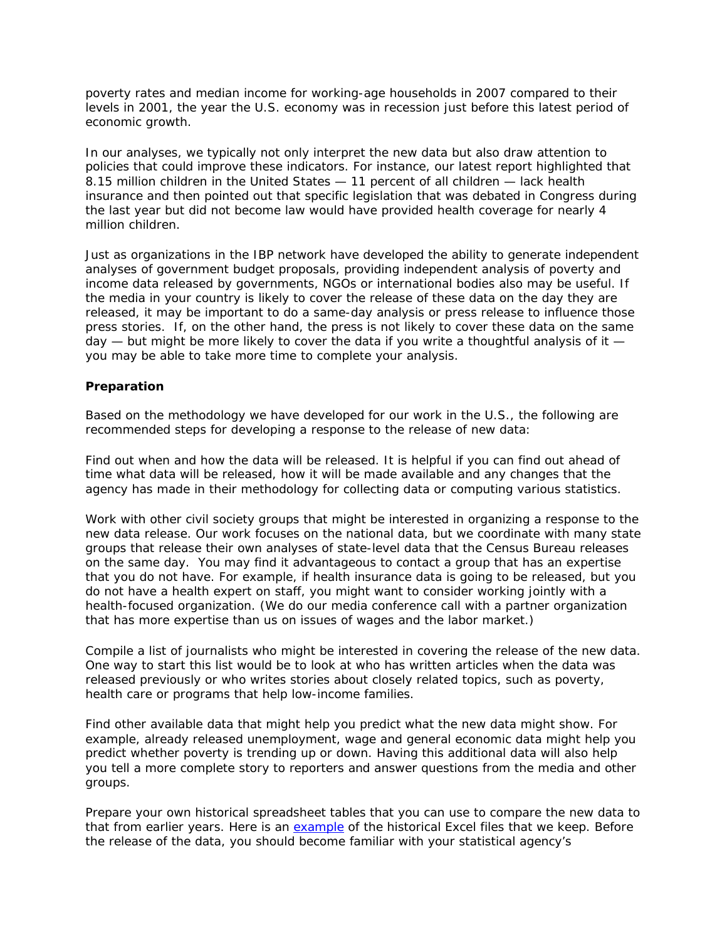poverty rates and median income for working-age households in 2007 compared to their levels in 2001, the year the U.S. economy was in recession just before this latest period of economic growth.

In our analyses, we typically not only interpret the new data but also draw attention to policies that could improve these indicators. For instance, our latest report highlighted that 8.15 million children in the United States — 11 percent of all children — lack health insurance and then pointed out that specific legislation that was debated in Congress during the last year but did not become law would have provided health coverage for nearly 4 million children.

Just as organizations in the IBP network have developed the ability to generate independent analyses of government budget proposals, providing independent analysis of poverty and income data released by governments, NGOs or international bodies also may be useful. If the media in your country is likely to cover the release of these data on the day they are released, it may be important to do a same-day analysis or press release to influence those press stories. If, on the other hand, the press is not likely to cover these data on the same day — but might be more likely to cover the data if you write a thoughtful analysis of it you may be able to take more time to complete your analysis.

#### **Preparation**

Based on the methodology we have developed for our work in the U.S., the following are recommended steps for developing a response to the release of new data:

Find out when and how the data will be released. It is helpful if you can find out ahead of time what data will be released, how it will be made available and any changes that the agency has made in their methodology for collecting data or computing various statistics.

Work with other civil society groups that might be interested in organizing a response to the new data release. Our work focuses on the national data, but we coordinate with many state groups that release their own analyses of state-level data that the Census Bureau releases on the same day. You may find it advantageous to contact a group that has an expertise that you do not have. For example, if health insurance data is going to be released, but you do not have a health expert on staff, you might want to consider working jointly with a health-focused organization. (We do our media conference call with a partner organization that has more expertise than us on issues of wages and the labor market.)

Compile a list of journalists who might be interested in covering the release of the new data. One way to start this list would be to look at who has written articles when the data was released previously or who writes stories about closely related topics, such as poverty, health care or programs that help low-income families.

Find other available data that might help you predict what the new data might show. For example, already released unemployment, wage and general economic data might help you predict whether poverty is trending up or down. Having this additional data will also help you tell a more complete story to reporters and answer questions from the media and other groups.

Prepare your own historical spreadsheet tables that you can use to compare the new data to that from earlier years. Here is an [example](http://www.cbpp.org/10-19-05pov.htm) of the historical Excel files that we keep. Before the release of the data, you should become familiar with your statistical agency's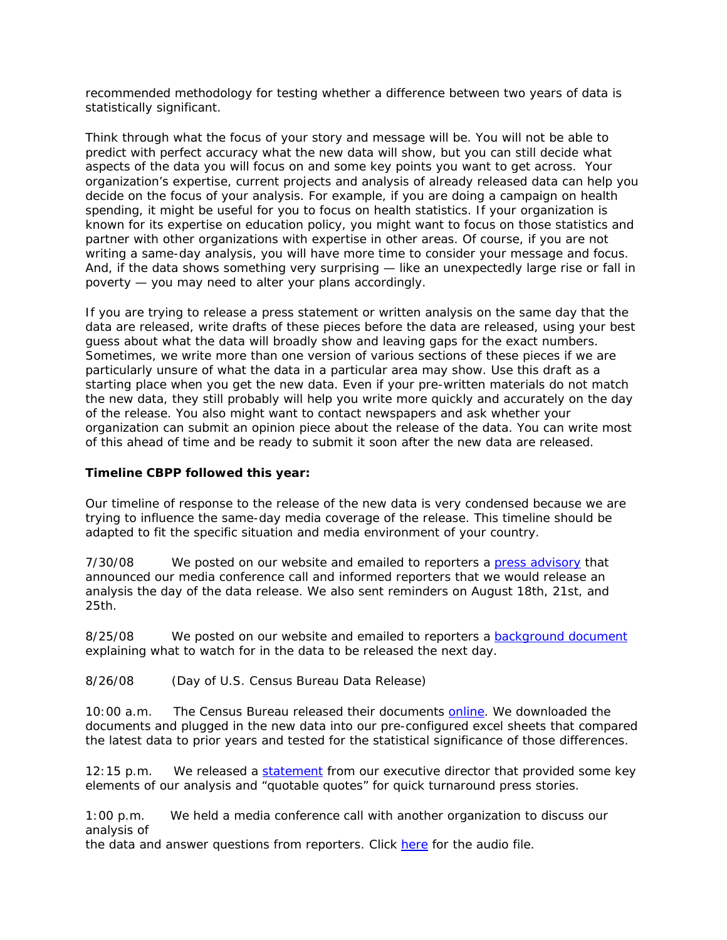recommended methodology for testing whether a difference between two years of data is statistically significant.

Think through what the focus of your story and message will be. You will not be able to predict with perfect accuracy what the new data will show, but you can still decide what aspects of the data you will focus on and some key points you want to get across. Your organization's expertise, current projects and analysis of already released data can help you decide on the focus of your analysis. For example, if you are doing a campaign on health spending, it might be useful for you to focus on health statistics. If your organization is known for its expertise on education policy, you might want to focus on those statistics and partner with other organizations with expertise in other areas. Of course, if you are not writing a same-day analysis, you will have more time to consider your message and focus. And, if the data shows something very surprising — like an unexpectedly large rise or fall in poverty — you may need to alter your plans accordingly.

If you are trying to release a press statement or written analysis on the same day that the data are released, write drafts of these pieces before the data are released, using your best guess about what the data will broadly show and leaving gaps for the exact numbers. Sometimes, we write more than one version of various sections of these pieces if we are particularly unsure of what the data in a particular area may show. Use this draft as a starting place when you get the new data. Even if your pre-written materials do not match the new data, they still probably will help you write more quickly and accurately on the day of the release. You also might want to contact newspapers and ask whether your organization can submit an opinion piece about the release of the data. You can write most of this ahead of time and be ready to submit it soon after the new data are released.

#### **Timeline CBPP followed this year:**

Our timeline of response to the release of the new data is very condensed because we are trying to influence the same-day media coverage of the release. This timeline should be adapted to fit the specific situation and media environment of your country.

7/30/08 We posted on our website and emailed to reporters a [press advisory](http://www.internationalbudget.org/PressAdvisory8-26-08pov.doc) that announced our media conference call and informed reporters that we would release an analysis the day of the data release. We also sent reminders on August 18th, 21st, and 25th.

8/25/08 We posted on our website and emailed to reporters a [background document](http://www.cbpp.org/8-21-08pov.htm) explaining what to watch for in the data to be released the next day.

8/26/08 (Day of U.S. Census Bureau Data Release)

10:00 a.m. The Census Bureau released their documents [online](http://www.census.gov/Press-Release/www/releases/archives/news_conferences/012515.html). We downloaded the documents and plugged in the new data into our pre-configured excel sheets that compared the latest data to prior years and tested for the statistical significance of those differences.

12:15 p.m. We released a [statement](http://www.cbpp.org/8-26-08pov-stmt.htm) from our executive director that provided some key elements of our analysis and "quotable quotes" for quick turnaround press stories.

1:00 p.m. We held a media conference call with another organization to discuss our analysis of

the data and answer questions from reporters. Click [here](http://www.cbpp.org/8-26-08pov-audio.htm) for the audio file.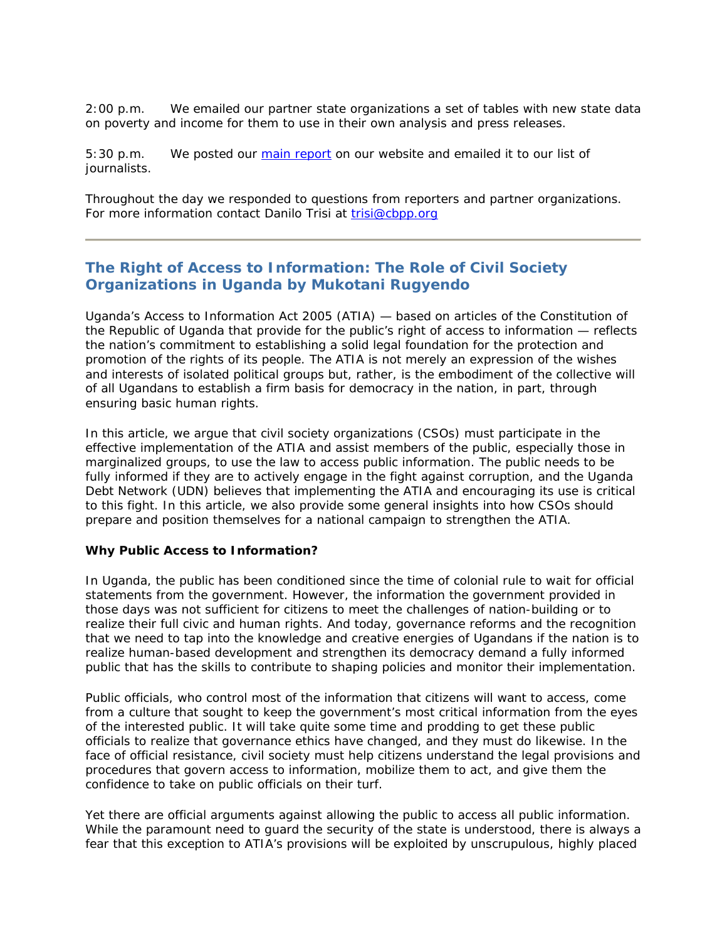2:00 p.m. We emailed our partner state organizations a set of tables with new state data on poverty and income for them to use in their own analysis and press releases.

5:30 p.m. We posted our [main report](http://www.cbpp.org/8-26-08pov.htm) on our website and emailed it to our list of journalists.

Throughout the day we responded to questions from reporters and partner organizations. For more information contact Danilo Trisi at [trisi@cbpp.org](mailto:trisi@cbpp.org)

## **The Right of Access to Information: The Role of Civil Society Organizations in Uganda by Mukotani Rugyendo**

Uganda's Access to Information Act 2005 (ATIA) — based on articles of the Constitution of the Republic of Uganda that provide for the public's right of access to information — reflects the nation's commitment to establishing a solid legal foundation for the protection and promotion of the rights of its people. The ATIA is not merely an expression of the wishes and interests of isolated political groups but, rather, is the embodiment of the collective will of all Ugandans to establish a firm basis for democracy in the nation, in part, through ensuring basic human rights.

In this article, we argue that civil society organizations (CSOs) must participate in the effective implementation of the ATIA and assist members of the public, especially those in marginalized groups, to use the law to access public information. The public needs to be fully informed if they are to actively engage in the fight against corruption, and the Uganda Debt Network (UDN) believes that implementing the ATIA and encouraging its use is critical to this fight. In this article, we also provide some general insights into how CSOs should prepare and position themselves for a national campaign to strengthen the ATIA.

#### **Why Public Access to Information?**

In Uganda, the public has been conditioned since the time of colonial rule to wait for official statements from the government. However, the information the government provided in those days was not sufficient for citizens to meet the challenges of nation-building or to realize their full civic and human rights. And today, governance reforms and the recognition that we need to tap into the knowledge and creative energies of Ugandans if the nation is to realize human-based development and strengthen its democracy demand a fully informed public that has the skills to contribute to shaping policies and monitor their implementation.

Public officials, who control most of the information that citizens will want to access, come from a culture that sought to keep the government's most critical information from the eyes of the interested public. It will take quite some time and prodding to get these public officials to realize that governance ethics have changed, and they must do likewise. In the face of official resistance, civil society must help citizens understand the legal provisions and procedures that govern access to information, mobilize them to act, and give them the confidence to take on public officials on their turf.

Yet there are official arguments against allowing the public to access all public information. While the paramount need to guard the security of the state is understood, there is always a fear that this exception to ATIA's provisions will be exploited by unscrupulous, highly placed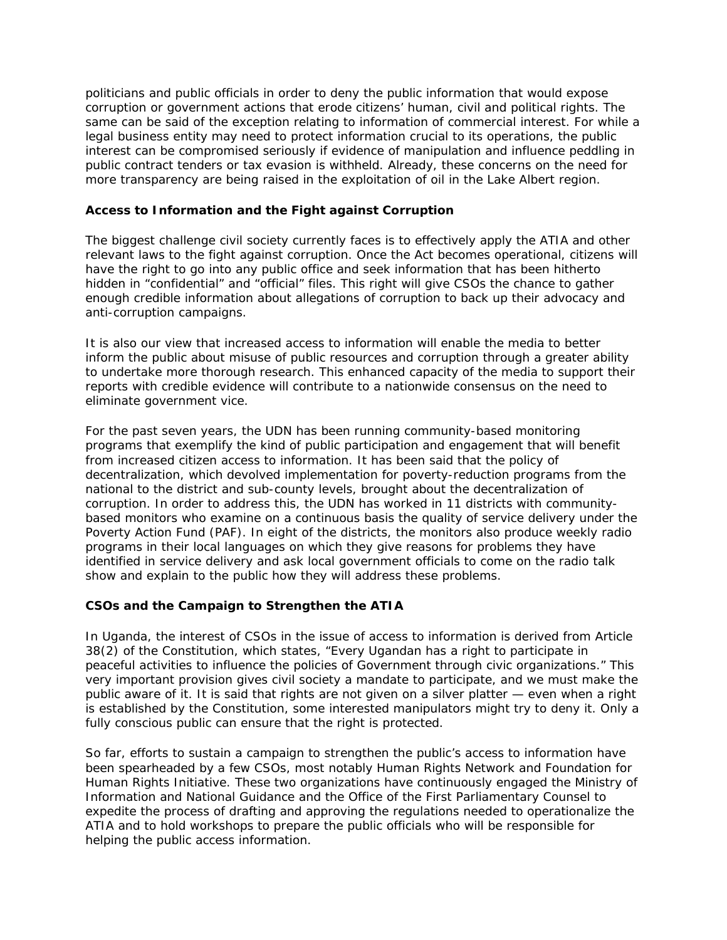politicians and public officials in order to deny the public information that would expose corruption or government actions that erode citizens' human, civil and political rights. The same can be said of the exception relating to information of commercial interest. For while a legal business entity may need to protect information crucial to its operations, the public interest can be compromised seriously if evidence of manipulation and influence peddling in public contract tenders or tax evasion is withheld. Already, these concerns on the need for more transparency are being raised in the exploitation of oil in the Lake Albert region.

#### **Access to Information and the Fight against Corruption**

The biggest challenge civil society currently faces is to effectively apply the ATIA and other relevant laws to the fight against corruption. Once the Act becomes operational, citizens will have the right to go into any public office and seek information that has been hitherto hidden in "confidential" and "official" files. This right will give CSOs the chance to gather enough credible information about allegations of corruption to back up their advocacy and anti-corruption campaigns.

It is also our view that increased access to information will enable the media to better inform the public about misuse of public resources and corruption through a greater ability to undertake more thorough research. This enhanced capacity of the media to support their reports with credible evidence will contribute to a nationwide consensus on the need to eliminate government vice.

For the past seven years, the UDN has been running community-based monitoring programs that exemplify the kind of public participation and engagement that will benefit from increased citizen access to information. It has been said that the policy of decentralization, which devolved implementation for poverty-reduction programs from the national to the district and sub-county levels, brought about the decentralization of corruption. In order to address this, the UDN has worked in 11 districts with communitybased monitors who examine on a continuous basis the quality of service delivery under the Poverty Action Fund (PAF). In eight of the districts, the monitors also produce weekly radio programs in their local languages on which they give reasons for problems they have identified in service delivery and ask local government officials to come on the radio talk show and explain to the public how they will address these problems.

#### **CSOs and the Campaign to Strengthen the ATIA**

In Uganda, the interest of CSOs in the issue of access to information is derived from Article 38(2) of the Constitution, which states, "Every Ugandan has a right to participate in peaceful activities to influence the policies of Government through civic organizations." This very important provision gives civil society a mandate to participate, and we must make the public aware of it. It is said that rights are not given on a silver platter — even when a right is established by the Constitution, some interested manipulators might try to deny it. Only a fully conscious public can ensure that the right is protected.

So far, efforts to sustain a campaign to strengthen the public's access to information have been spearheaded by a few CSOs, most notably Human Rights Network and Foundation for Human Rights Initiative. These two organizations have continuously engaged the Ministry of Information and National Guidance and the Office of the First Parliamentary Counsel to expedite the process of drafting and approving the regulations needed to operationalize the ATIA and to hold workshops to prepare the public officials who will be responsible for helping the public access information.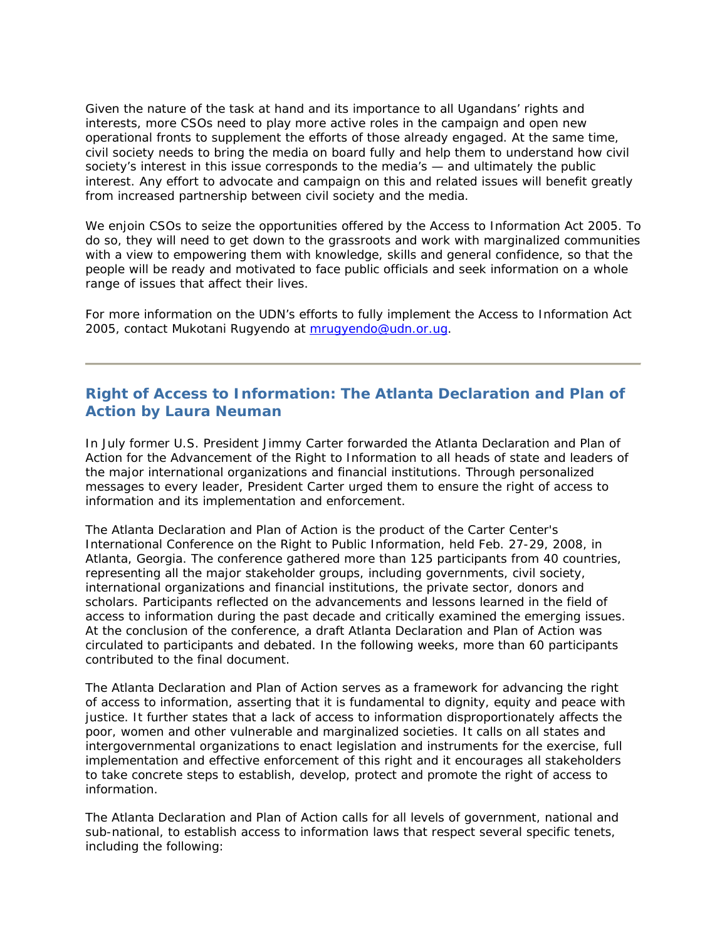Given the nature of the task at hand and its importance to all Ugandans' rights and interests, more CSOs need to play more active roles in the campaign and open new operational fronts to supplement the efforts of those already engaged. At the same time, civil society needs to bring the media on board fully and help them to understand how civil society's interest in this issue corresponds to the media's — and ultimately the public interest. Any effort to advocate and campaign on this and related issues will benefit greatly from increased partnership between civil society and the media.

We enjoin CSOs to seize the opportunities offered by the Access to Information Act 2005. To do so, they will need to get down to the grassroots and work with marginalized communities with a view to empowering them with knowledge, skills and general confidence, so that the people will be ready and motivated to face public officials and seek information on a whole range of issues that affect their lives.

For more information on the UDN's efforts to fully implement the Access to Information Act 2005, contact Mukotani Rugyendo at [mrugyendo@udn.or.ug](mailto:mrugyendo@udn.or.ug).

## **Right of Access to Information: The Atlanta Declaration and Plan of Action by Laura Neuman**

In July former U.S. President Jimmy Carter forwarded the *Atlanta Declaration and Plan of Action for the Advancement of the Right to Information* to all heads of state and leaders of the major international organizations and financial institutions. Through personalized messages to every leader, President Carter urged them to ensure the right of access to information and its implementation and enforcement.

The *Atlanta Declaration and Plan of Action* is the product of the Carter Center's International Conference on the Right to Public Information, held Feb. 27-29, 2008, in Atlanta, Georgia. The conference gathered more than 125 participants from 40 countries, representing all the major stakeholder groups, including governments, civil society, international organizations and financial institutions, the private sector, donors and scholars. Participants reflected on the advancements and lessons learned in the field of access to information during the past decade and critically examined the emerging issues. At the conclusion of the conference, a draft *Atlanta Declaration and Plan of Action* was circulated to participants and debated. In the following weeks, more than 60 participants contributed to the final document.

The *Atlanta Declaration and Plan of Action* serves as a framework for advancing the right of access to information, asserting that it is fundamental to dignity, equity and peace with justice. It further states that a lack of access to information disproportionately affects the poor, women and other vulnerable and marginalized societies. It calls on all states and intergovernmental organizations to enact legislation and instruments for the exercise, full implementation and effective enforcement of this right and it encourages all stakeholders to take concrete steps to establish, develop, protect and promote the right of access to information.

The *Atlanta Declaration and Plan of Action* calls for all levels of government, national and sub-national, to establish access to information laws that respect several specific tenets, including the following: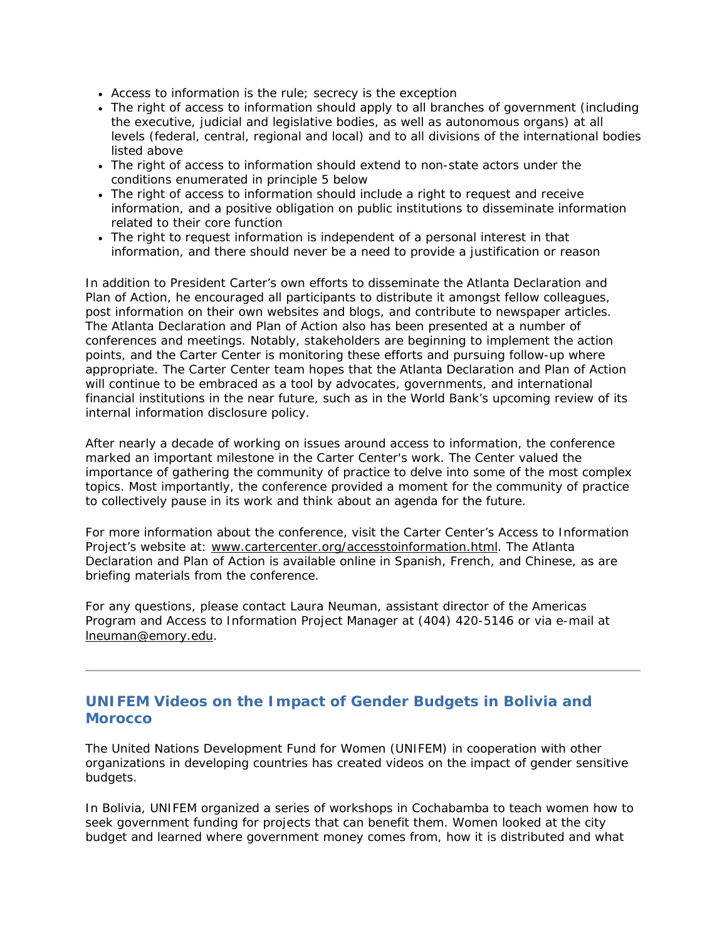- Access to information is the rule; secrecy is the exception
- The right of access to information should apply to all branches of government (including the executive, judicial and legislative bodies, as well as autonomous organs) at all levels (federal, central, regional and local) and to all divisions of the international bodies listed above
- The right of access to information should extend to non-state actors under the conditions enumerated in principle 5 below
- The right of access to information should include a right to request and receive information, and a positive obligation on public institutions to disseminate information related to their core function
- The right to request information is independent of a personal interest in that information, and there should never be a need to provide a justification or reason

In addition to President Carter's own efforts to disseminate the *Atlanta Declaration and Plan of Action*, he encouraged all participants to distribute it amongst fellow colleagues, post information on their own websites and blogs, and contribute to newspaper articles. The *Atlanta Declaration and Plan of Action* also has been presented at a number of conferences and meetings. Notably, stakeholders are beginning to implement the action points, and the Carter Center is monitoring these efforts and pursuing follow-up where appropriate. The Carter Center team hopes that the *Atlanta Declaration and Plan of Action*  will continue to be embraced as a tool by advocates, governments, and international financial institutions in the near future, such as in the World Bank's upcoming review of its internal information disclosure policy.

After nearly a decade of working on issues around access to information, the conference marked an important milestone in the Carter Center's work. The Center valued the importance of gathering the community of practice to delve into some of the most complex topics. Most importantly, the conference provided a moment for the community of practice to collectively pause in its work and think about an agenda for the future.

For more information about the conference, visit the Carter Center's Access to Information Project's website at: [www.cartercenter.org/accesstoinformation.html](http://www.cartercenter.org/accesstoinformation.html). The *Atlanta Declaration and Plan of Action* is available online in Spanish, French, and Chinese, as are briefing materials from the conference.

For any questions, please contact Laura Neuman, assistant director of the Americas Program and Access to Information Project Manager at (404) 420-5146 or via e-mail at [lneuman@emory.edu.](mailto:lneuman@emory.edu)

### **UNIFEM Videos on the Impact of Gender Budgets in Bolivia and Morocco**

The United Nations Development Fund for Women (UNIFEM) in cooperation with other organizations in developing countries has created videos on the impact of gender sensitive budgets.

In Bolivia, UNIFEM organized a series of workshops in Cochabamba to teach women how to seek government funding for projects that can benefit them. Women looked at the city budget and learned where government money comes from, how it is distributed and what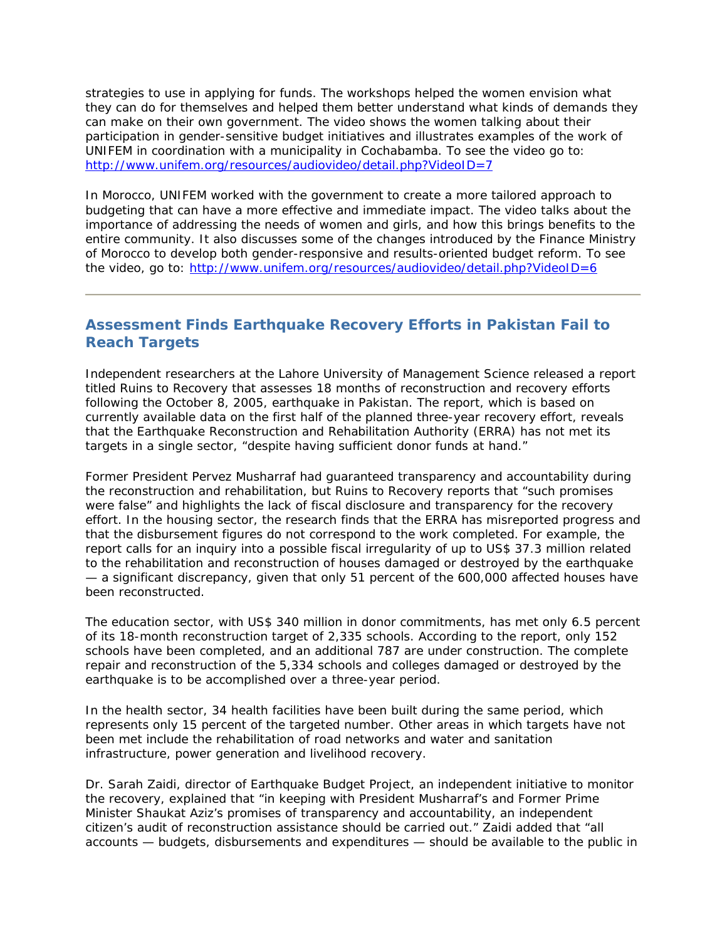strategies to use in applying for funds. The workshops helped the women envision what they can do for themselves and helped them better understand what kinds of demands they can make on their own government. The video shows the women talking about their participation in gender-sensitive budget initiatives and illustrates examples of the work of UNIFEM in coordination with a municipality in Cochabamba. To see the video go to: <http://www.unifem.org/resources/audiovideo/detail.php?VideoID=7>

In Morocco, UNIFEM worked with the government to create a more tailored approach to budgeting that can have a more effective and immediate impact. The video talks about the importance of addressing the needs of women and girls, and how this brings benefits to the entire community. It also discusses some of the changes introduced by the Finance Ministry of Morocco to develop both gender-responsive and results-oriented budget reform. To see the video, go to: <http://www.unifem.org/resources/audiovideo/detail.php?VideoID=6>

## **Assessment Finds Earthquake Recovery Efforts in Pakistan Fail to Reach Targets**

Independent researchers at the Lahore University of Management Science released a report titled *Ruins to Recovery* that assesses 18 months of reconstruction and recovery efforts following the October 8, 2005, earthquake in Pakistan. The report, which is based on currently available data on the first half of the planned three-year recovery effort, reveals that the Earthquake Reconstruction and Rehabilitation Authority (ERRA) has not met its targets in a single sector, "despite having sufficient donor funds at hand."

Former President Pervez Musharraf had guaranteed transparency and accountability during the reconstruction and rehabilitation, but *Ruins to Recovery* reports that "such promises were false" and highlights the lack of fiscal disclosure and transparency for the recovery effort. In the housing sector, the research finds that the ERRA has misreported progress and that the disbursement figures do not correspond to the work completed. For example, the report calls for an inquiry into a possible fiscal irregularity of up to US\$ 37.3 million related to the rehabilitation and reconstruction of houses damaged or destroyed by the earthquake — a significant discrepancy, given that only 51 percent of the 600,000 affected houses have been reconstructed.

The education sector, with US\$ 340 million in donor commitments, has met only 6.5 percent of its 18-month reconstruction target of 2,335 schools. According to the report, only 152 schools have been completed, and an additional 787 are under construction. The complete repair and reconstruction of the 5,334 schools and colleges damaged or destroyed by the earthquake is to be accomplished over a three-year period.

In the health sector, 34 health facilities have been built during the same period, which represents only 15 percent of the targeted number. Other areas in which targets have not been met include the rehabilitation of road networks and water and sanitation infrastructure, power generation and livelihood recovery.

Dr. Sarah Zaidi, director of Earthquake Budget Project, an independent initiative to monitor the recovery, explained that "in keeping with President Musharraf's and Former Prime Minister Shaukat Aziz's promises of transparency and accountability, an independent citizen's audit of reconstruction assistance should be carried out." Zaidi added that "all accounts — budgets, disbursements and expenditures — should be available to the public in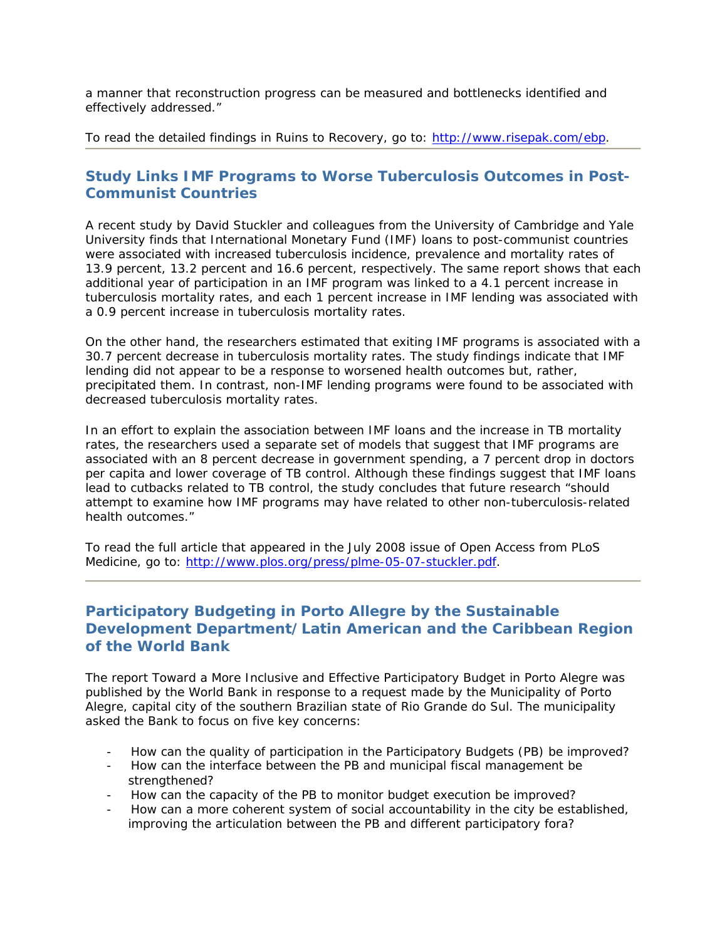a manner that reconstruction progress can be measured and bottlenecks identified and effectively addressed."

To read the detailed findings in *Ruins to Recovery*, go to:<http://www.risepak.com/ebp>.

## **Study Links IMF Programs to Worse Tuberculosis Outcomes in Post-Communist Countries**

A recent study by David Stuckler and colleagues from the University of Cambridge and Yale University finds that International Monetary Fund (IMF) loans to post-communist countries were associated with increased tuberculosis incidence, prevalence and mortality rates of 13.9 percent, 13.2 percent and 16.6 percent, respectively. The same report shows that each additional year of participation in an IMF program was linked to a 4.1 percent increase in tuberculosis mortality rates, and each 1 percent increase in IMF lending was associated with a 0.9 percent increase in tuberculosis mortality rates.

On the other hand, the researchers estimated that exiting IMF programs is associated with a 30.7 percent decrease in tuberculosis mortality rates. The study findings indicate that IMF lending did not appear to be a response to worsened health outcomes but, rather, precipitated them. In contrast, non-IMF lending programs were found to be associated with decreased tuberculosis mortality rates.

In an effort to explain the association between IMF loans and the increase in TB mortality rates, the researchers used a separate set of models that suggest that IMF programs are associated with an 8 percent decrease in government spending, a 7 percent drop in doctors per capita and lower coverage of TB control. Although these findings suggest that IMF loans lead to cutbacks related to TB control, the study concludes that future research "should attempt to examine how IMF programs may have related to other non-tuberculosis-related health outcomes."

To read the full article that appeared in the July 2008 issue of Open Access from PLoS Medicine, go to: <http://www.plos.org/press/plme-05-07-stuckler.pdf>.

## **Participatory Budgeting in Porto Allegre by the Sustainable Development Department/Latin American and the Caribbean Region of the World Bank**

The report *Toward a More Inclusive and Effective Participatory Budget in Porto Alegre* was published by the World Bank in response to a request made by the Municipality of Porto Alegre, capital city of the southern Brazilian state of Rio Grande do Sul. The municipality asked the Bank to focus on five key concerns:

- How can the quality of participation in the Participatory Budgets (PB) be improved?
- How can the interface between the PB and municipal fiscal management be strengthened?
- How can the capacity of the PB to monitor budget execution be improved?
- How can a more coherent system of social accountability in the city be established, improving the articulation between the PB and different participatory fora?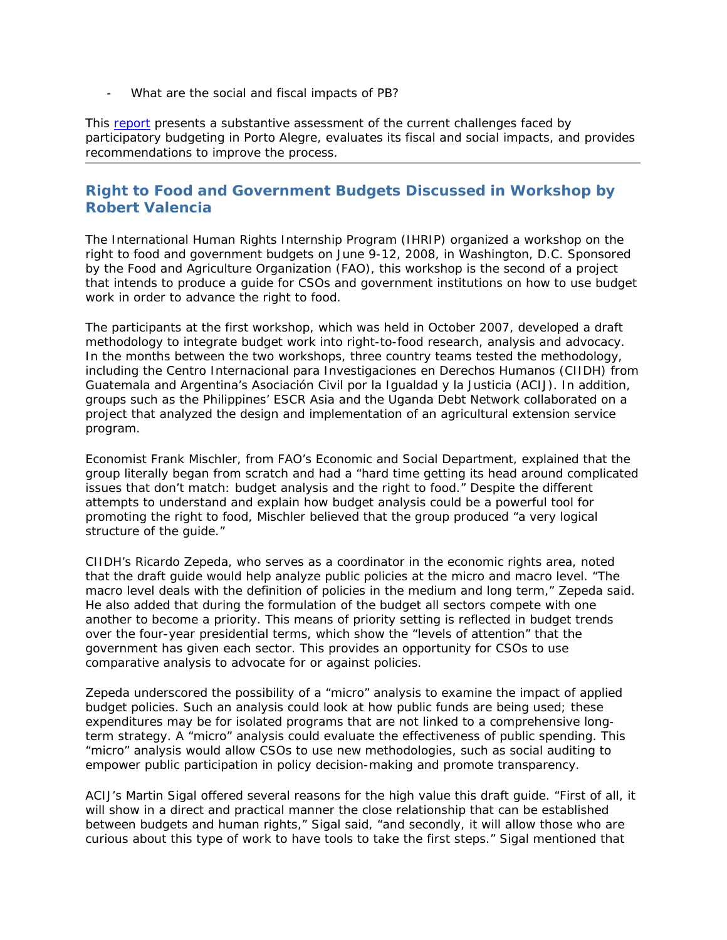- What are the social and fiscal impacts of PB?

This [report](http://www-wds.worldbank.org/external/default/WDSContentServer/WDSP/IB/2008/03/05/000333037_20080305014411/Rendered/PDF/401440v10ER0P01sclosed0March0302008.pdf) presents a substantive assessment of the current challenges faced by participatory budgeting in Porto Alegre, evaluates its fiscal and social impacts, and provides recommendations to improve the process.

## **Right to Food and Government Budgets Discussed in Workshop by Robert Valencia**

The International Human Rights Internship Program (IHRIP) organized a workshop on the right to food and government budgets on June 9-12, 2008, in Washington, D.C. Sponsored by the Food and Agriculture Organization (FAO), this workshop is the second of a project that intends to produce a guide for CSOs and government institutions on how to use budget work in order to advance the right to food.

The participants at the first workshop, which was held in October 2007, developed a draft methodology to integrate budget work into right-to-food research, analysis and advocacy. In the months between the two workshops, three country teams tested the methodology, including the Centro Internacional para Investigaciones en Derechos Humanos (CIIDH) from Guatemala and Argentina's Asociación Civil por la Igualdad y la Justicia (ACIJ). In addition, groups such as the Philippines' ESCR Asia and the Uganda Debt Network collaborated on a project that analyzed the design and implementation of an agricultural extension service program.

Economist Frank Mischler, from FAO's Economic and Social Department, explained that the group literally began from scratch and had a "hard time getting its head around complicated issues that don't match: budget analysis and the right to food." Despite the different attempts to understand and explain how budget analysis could be a powerful tool for promoting the right to food, Mischler believed that the group produced "a very logical structure of the guide."

CIIDH's Ricardo Zepeda, who serves as a coordinator in the economic rights area, noted that the draft guide would help analyze public policies at the micro and macro level. "The macro level deals with the definition of policies in the medium and long term," Zepeda said. He also added that during the formulation of the budget all sectors compete with one another to become a priority. This means of priority setting is reflected in budget trends over the four-year presidential terms, which show the "levels of attention" that the government has given each sector. This provides an opportunity for CSOs to use comparative analysis to advocate for or against policies.

Zepeda underscored the possibility of a "micro" analysis to examine the impact of applied budget policies. Such an analysis could look at how public funds are being used; these expenditures may be for isolated programs that are not linked to a comprehensive longterm strategy. A "micro" analysis could evaluate the effectiveness of public spending. This "micro" analysis would allow CSOs to use new methodologies, such as social auditing to empower public participation in policy decision-making and promote transparency.

ACIJ's Martin Sigal offered several reasons for the high value this draft guide. "First of all, it will show in a direct and practical manner the close relationship that can be established between budgets and human rights," Sigal said, "and secondly, it will allow those who are curious about this type of work to have tools to take the first steps." Sigal mentioned that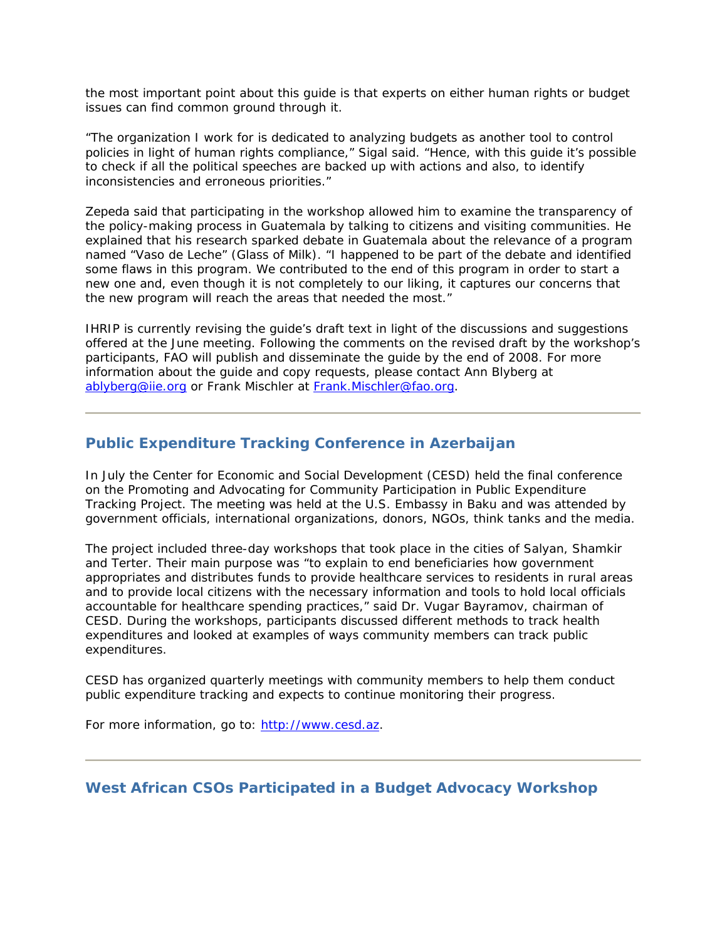the most important point about this guide is that experts on either human rights or budget issues can find common ground through it.

"The organization I work for is dedicated to analyzing budgets as another tool to control policies in light of human rights compliance," Sigal said. "Hence, with this guide it's possible to check if all the political speeches are backed up with actions and also, to identify inconsistencies and erroneous priorities."

Zepeda said that participating in the workshop allowed him to examine the transparency of the policy-making process in Guatemala by talking to citizens and visiting communities. He explained that his research sparked debate in Guatemala about the relevance of a program named "Vaso de Leche" (Glass of Milk). "I happened to be part of the debate and identified some flaws in this program. We contributed to the end of this program in order to start a new one and, even though it is not completely to our liking, it captures our concerns that the new program will reach the areas that needed the most."

IHRIP is currently revising the guide's draft text in light of the discussions and suggestions offered at the June meeting. Following the comments on the revised draft by the workshop's participants, FAO will publish and disseminate the guide by the end of 2008. For more information about the guide and copy requests, please contact Ann Blyberg at [ablyberg@iie.org](mailto:ablyberg@iie.org) or Frank Mischler at [Frank.Mischler@fao.org.](mailto:Frank.Mischler@fao.org)

## **Public Expenditure Tracking Conference in Azerbaijan**

In July the Center for Economic and Social Development (CESD) held the final conference on the Promoting and Advocating for Community Participation in Public Expenditure Tracking Project. The meeting was held at the U.S. Embassy in Baku and was attended by government officials, international organizations, donors, NGOs, think tanks and the media.

The project included three-day workshops that took place in the cities of Salyan, Shamkir and Terter. Their main purpose was "to explain to end beneficiaries how government appropriates and distributes funds to provide healthcare services to residents in rural areas and to provide local citizens with the necessary information and tools to hold local officials accountable for healthcare spending practices," said Dr. Vugar Bayramov, chairman of CESD. During the workshops, participants discussed different methods to track health expenditures and looked at examples of ways community members can track public expenditures.

CESD has organized quarterly meetings with community members to help them conduct public expenditure tracking and expects to continue monitoring their progress.

For more information, go to: [http://www.cesd.az.](http://www.cesd.az/)

### **West African CSOs Participated in a Budget Advocacy Workshop**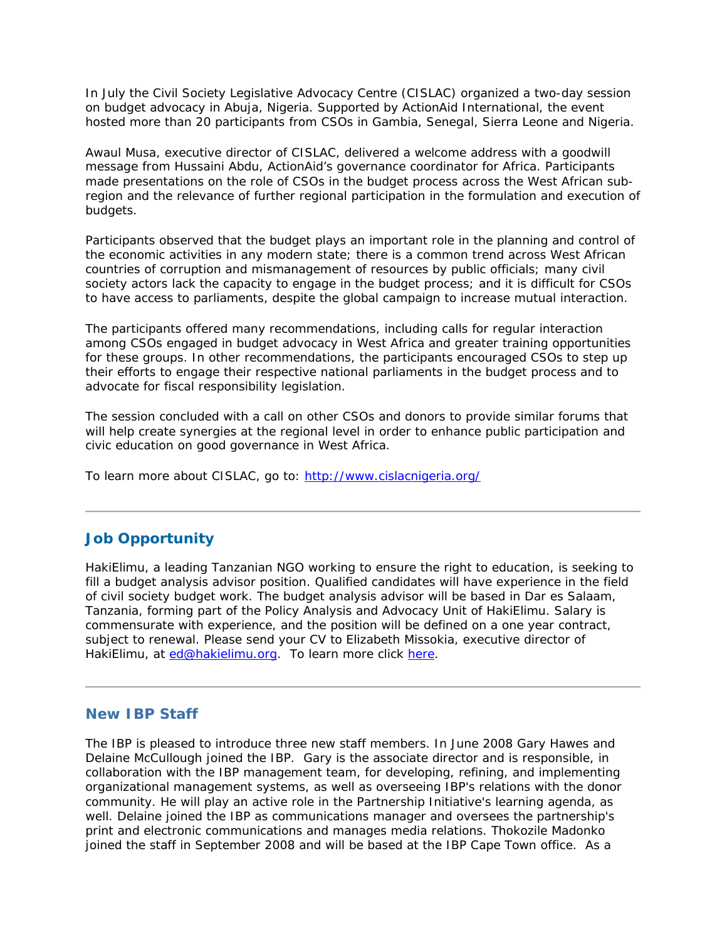In July the Civil Society Legislative Advocacy Centre (CISLAC) organized a two-day session on budget advocacy in Abuja, Nigeria. Supported by ActionAid International, the event hosted more than 20 participants from CSOs in Gambia, Senegal, Sierra Leone and Nigeria.

Awaul Musa, executive director of CISLAC, delivered a welcome address with a goodwill message from Hussaini Abdu, ActionAid's governance coordinator for Africa. Participants made presentations on the role of CSOs in the budget process across the West African subregion and the relevance of further regional participation in the formulation and execution of budgets.

Participants observed that the budget plays an important role in the planning and control of the economic activities in any modern state; there is a common trend across West African countries of corruption and mismanagement of resources by public officials; many civil society actors lack the capacity to engage in the budget process; and it is difficult for CSOs to have access to parliaments, despite the global campaign to increase mutual interaction.

The participants offered many recommendations, including calls for regular interaction among CSOs engaged in budget advocacy in West Africa and greater training opportunities for these groups. In other recommendations, the participants encouraged CSOs to step up their efforts to engage their respective national parliaments in the budget process and to advocate for fiscal responsibility legislation.

The session concluded with a call on other CSOs and donors to provide similar forums that will help create synergies at the regional level in order to enhance public participation and civic education on good governance in West Africa.

To learn more about CISLAC, go to: <http://www.cislacnigeria.org/>

### **Job Opportunity**

HakiElimu, a leading Tanzanian NGO working to ensure the right to education, is seeking to fill a budget analysis advisor position. Qualified candidates will have experience in the field of civil society budget work. The budget analysis advisor will be based in Dar es Salaam, Tanzania, forming part of the Policy Analysis and Advocacy Unit of HakiElimu. Salary is commensurate with experience, and the position will be defined on a one year contract, subject to renewal. Please send your CV to Elizabeth Missokia, executive director of HakiElimu, at [ed@hakielimu.org.](mailto:ed@hakielimu.org) To learn more click [here](http://www.internationalbudget.org/HakiElimuJOB.doc).

#### **New IBP Staff**

The IBP is pleased to introduce three new staff members. In June 2008 Gary Hawes and Delaine McCullough joined the IBP. Gary is the associate director and is responsible, in collaboration with the IBP management team, for developing, refining, and implementing organizational management systems, as well as overseeing IBP's relations with the donor community. He will play an active role in the Partnership Initiative's learning agenda, as well. Delaine joined the IBP as communications manager and oversees the partnership's print and electronic communications and manages media relations. Thokozile Madonko joined the staff in September 2008 and will be based at the IBP Cape Town office. As a